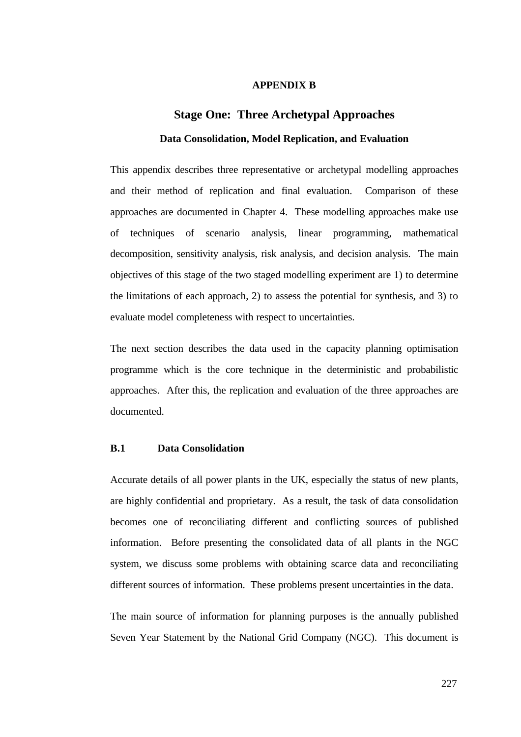## **APPENDIX B**

# **Stage One: Three Archetypal Approaches Data Consolidation, Model Replication, and Evaluation**

This appendix describes three representative or archetypal modelling approaches and their method of replication and final evaluation. Comparison of these approaches are documented in Chapter 4. These modelling approaches make use of techniques of scenario analysis, linear programming, mathematical decomposition, sensitivity analysis, risk analysis, and decision analysis. The main objectives of this stage of the two staged modelling experiment are 1) to determine the limitations of each approach, 2) to assess the potential for synthesis, and 3) to evaluate model completeness with respect to uncertainties.

The next section describes the data used in the capacity planning optimisation programme which is the core technique in the deterministic and probabilistic approaches. After this, the replication and evaluation of the three approaches are documented.

# **B.1 Data Consolidation**

Accurate details of all power plants in the UK, especially the status of new plants, are highly confidential and proprietary. As a result, the task of data consolidation becomes one of reconciliating different and conflicting sources of published information. Before presenting the consolidated data of all plants in the NGC system, we discuss some problems with obtaining scarce data and reconciliating different sources of information. These problems present uncertainties in the data.

The main source of information for planning purposes is the annually published Seven Year Statement by the National Grid Company (NGC). This document is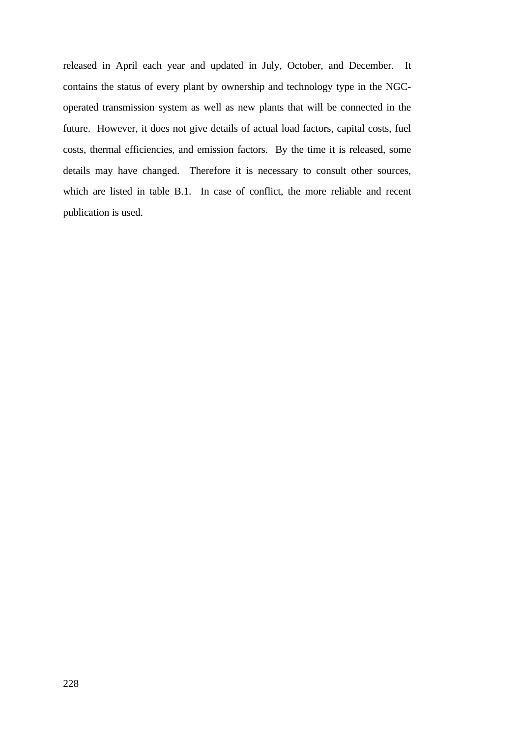released in April each year and updated in July, October, and December. It contains the status of every plant by ownership and technology type in the NGCoperated transmission system as well as new plants that will be connected in the future. However, it does not give details of actual load factors, capital costs, fuel costs, thermal efficiencies, and emission factors. By the time it is released, some details may have changed. Therefore it is necessary to consult other sources, which are listed in table B.1. In case of conflict, the more reliable and recent publication is used.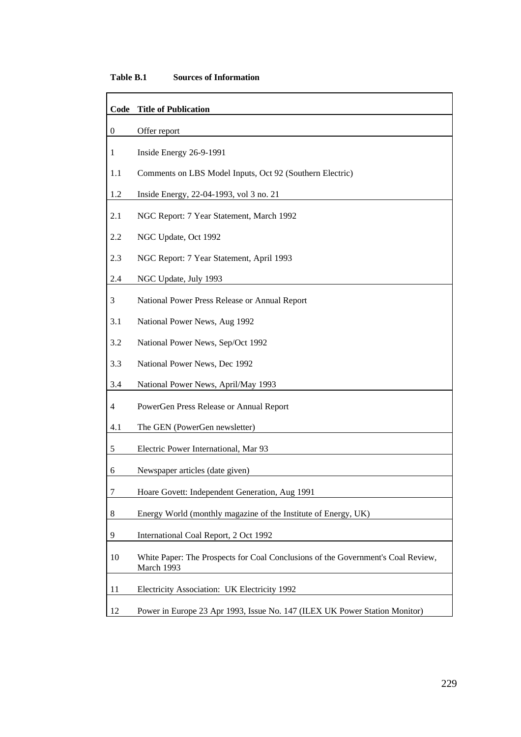# **Table B.1 Sources of Information**

| Code             | <b>Title of Publication</b>                                                                    |
|------------------|------------------------------------------------------------------------------------------------|
| $\boldsymbol{0}$ | Offer report                                                                                   |
| 1                | Inside Energy 26-9-1991                                                                        |
| 1.1              | Comments on LBS Model Inputs, Oct 92 (Southern Electric)                                       |
| 1.2              | Inside Energy, 22-04-1993, vol 3 no. 21                                                        |
| 2.1              | NGC Report: 7 Year Statement, March 1992                                                       |
| 2.2              | NGC Update, Oct 1992                                                                           |
| 2.3              | NGC Report: 7 Year Statement, April 1993                                                       |
| 2.4              | NGC Update, July 1993                                                                          |
| 3                | National Power Press Release or Annual Report                                                  |
| 3.1              | National Power News, Aug 1992                                                                  |
| 3.2              | National Power News, Sep/Oct 1992                                                              |
| 3.3              | National Power News, Dec 1992                                                                  |
| 3.4              | National Power News, April/May 1993                                                            |
| 4                | PowerGen Press Release or Annual Report                                                        |
| 4.1              | The GEN (PowerGen newsletter)                                                                  |
| 5                | Electric Power International, Mar 93                                                           |
| 6                | Newspaper articles (date given)                                                                |
| 7                | Hoare Govett: Independent Generation, Aug 1991                                                 |
| 8                | Energy World (monthly magazine of the Institute of Energy, UK)                                 |
| 9                | International Coal Report, 2 Oct 1992                                                          |
| 10               | White Paper: The Prospects for Coal Conclusions of the Government's Coal Review,<br>March 1993 |
| 11               | Electricity Association: UK Electricity 1992                                                   |
| 12               | Power in Europe 23 Apr 1993, Issue No. 147 (ILEX UK Power Station Monitor)                     |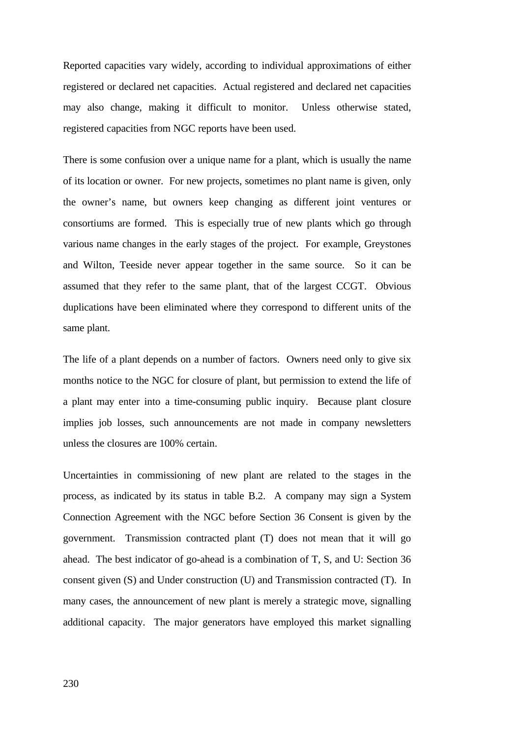Reported capacities vary widely, according to individual approximations of either registered or declared net capacities. Actual registered and declared net capacities may also change, making it difficult to monitor. Unless otherwise stated, registered capacities from NGC reports have been used.

There is some confusion over a unique name for a plant, which is usually the name of its location or owner. For new projects, sometimes no plant name is given, only the owner's name, but owners keep changing as different joint ventures or consortiums are formed. This is especially true of new plants which go through various name changes in the early stages of the project. For example, Greystones and Wilton, Teeside never appear together in the same source. So it can be assumed that they refer to the same plant, that of the largest CCGT. Obvious duplications have been eliminated where they correspond to different units of the same plant.

The life of a plant depends on a number of factors. Owners need only to give six months notice to the NGC for closure of plant, but permission to extend the life of a plant may enter into a time-consuming public inquiry. Because plant closure implies job losses, such announcements are not made in company newsletters unless the closures are 100% certain.

Uncertainties in commissioning of new plant are related to the stages in the process, as indicated by its status in table B.2. A company may sign a System Connection Agreement with the NGC before Section 36 Consent is given by the government. Transmission contracted plant (T) does not mean that it will go ahead. The best indicator of go-ahead is a combination of T, S, and U: Section 36 consent given (S) and Under construction (U) and Transmission contracted (T). In many cases, the announcement of new plant is merely a strategic move, signalling additional capacity. The major generators have employed this market signalling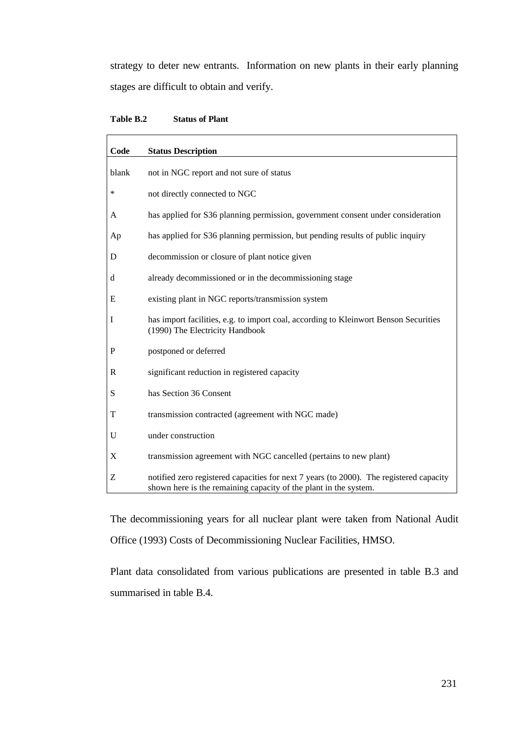strategy to deter new entrants. Information on new plants in their early planning stages are difficult to obtain and verify.

| Code      | <b>Status Description</b>                                                                                                                                   |
|-----------|-------------------------------------------------------------------------------------------------------------------------------------------------------------|
| blank     | not in NGC report and not sure of status                                                                                                                    |
| $\ast$    | not directly connected to NGC                                                                                                                               |
| A         | has applied for S36 planning permission, government consent under consideration                                                                             |
| Ap        | has applied for S36 planning permission, but pending results of public inquiry                                                                              |
| D         | decommission or closure of plant notice given                                                                                                               |
| d         | already decommissioned or in the decommissioning stage                                                                                                      |
| E         | existing plant in NGC reports/transmission system                                                                                                           |
| I         | has import facilities, e.g. to import coal, according to Kleinwort Benson Securities<br>(1990) The Electricity Handbook                                     |
| ${\bf P}$ | postponed or deferred                                                                                                                                       |
| R         | significant reduction in registered capacity                                                                                                                |
| S         | has Section 36 Consent                                                                                                                                      |
| T         | transmission contracted (agreement with NGC made)                                                                                                           |
| U         | under construction                                                                                                                                          |
| X         | transmission agreement with NGC cancelled (pertains to new plant)                                                                                           |
| Z         | notified zero registered capacities for next 7 years (to 2000). The registered capacity<br>shown here is the remaining capacity of the plant in the system. |

The decommissioning years for all nuclear plant were taken from National Audit Office (1993) Costs of Decommissioning Nuclear Facilities, HMSO.

Plant data consolidated from various publications are presented in table B.3 and summarised in table B.4.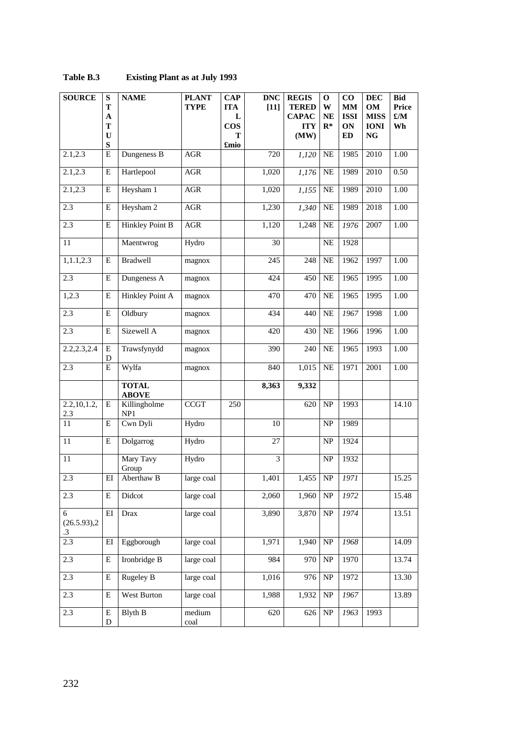| <b>SOURCE</b>          | ${\bf S}$<br>T<br>$\boldsymbol{\rm A}$<br>T<br>$\mathbf U$<br>${\bf S}$ | <b>NAME</b>                  | <b>PLANT</b><br><b>TYPE</b> | <b>CAP</b><br><b>ITA</b><br>L<br>$\cos$<br>T<br>£mio | <b>DNC</b><br>$[11]$ | <b>REGIS</b><br><b>TERED</b><br><b>CAPAC</b><br><b>ITY</b><br>(MW) | $\mathbf 0$<br>W<br><b>NE</b><br>$R^*$ | $\bf CO$<br><b>MM</b><br><b>ISSI</b><br>ON<br>ED | <b>DEC</b><br>OM<br><b>MISS</b><br><b>IONI</b><br>$\mathbf{NG}$ | <b>Bid</b><br>Price<br>$\pounds/M$<br>Wh |
|------------------------|-------------------------------------------------------------------------|------------------------------|-----------------------------|------------------------------------------------------|----------------------|--------------------------------------------------------------------|----------------------------------------|--------------------------------------------------|-----------------------------------------------------------------|------------------------------------------|
| 2.1, 2.3               | Е                                                                       | Dungeness B                  | <b>AGR</b>                  |                                                      | 720                  | 1,120                                                              | $\rm NE$                               | 1985                                             | 2010                                                            | 1.00                                     |
| 2.1, 2.3               | E                                                                       | Hartlepool                   | $\rm{AGR}$                  |                                                      | 1,020                | 1,176                                                              | NE                                     | 1989                                             | 2010                                                            | 0.50                                     |
| 2.1, 2.3               | E                                                                       | Heysham 1                    | $\rm{AGR}$                  |                                                      | 1,020                | 1,155                                                              | <b>NE</b>                              | 1989                                             | 2010                                                            | 1.00                                     |
| 2.3                    | Е                                                                       | Heysham 2                    | $\rm{AGR}$                  |                                                      | 1,230                | 1,340                                                              | $\rm NE$                               | 1989                                             | 2018                                                            | $1.00\,$                                 |
| 2.3                    | ${\bf E}$                                                               | Hinkley Point B              | $\mathbf{AGR}$              |                                                      | 1,120                | 1,248                                                              | <b>NE</b>                              | 1976                                             | 2007                                                            | 1.00                                     |
| 11                     |                                                                         | Maentwrog                    | Hydro                       |                                                      | 30                   |                                                                    | <b>NE</b>                              | 1928                                             |                                                                 |                                          |
| 1,1.1,2.3              | E                                                                       | Bradwell                     | magnox                      |                                                      | 245                  | 248                                                                | <b>NE</b>                              | 1962                                             | 1997                                                            | 1.00                                     |
| 2.3                    | E                                                                       | Dungeness A                  | magnox                      |                                                      | 424                  | 450                                                                | $\rm NE$                               | 1965                                             | 1995                                                            | $1.00\,$                                 |
| 1,2.3                  | ${\bf E}$                                                               | Hinkley Point A              | magnox                      |                                                      | 470                  | 470                                                                | NE                                     | 1965                                             | 1995                                                            | 1.00                                     |
| 2.3                    | ${\bf E}$                                                               | Oldbury                      | magnox                      |                                                      | 434                  | 440                                                                | NE                                     | 1967                                             | 1998                                                            | $1.00\,$                                 |
| 2.3                    | E                                                                       | Sizewell A                   | magnox                      |                                                      | 420                  | 430                                                                | $\rm NE$                               | 1966                                             | 1996                                                            | 1.00                                     |
| 2.2,2.3,2.4            | E<br>D                                                                  | Trawsfynydd                  | magnox                      |                                                      | 390                  | 240                                                                | $\rm NE$                               | 1965                                             | 1993                                                            | 1.00                                     |
| 2.3                    | Е                                                                       | Wylfa                        | magnox                      |                                                      | 840                  | 1,015                                                              | NE                                     | 1971                                             | 2001                                                            | 1.00                                     |
|                        |                                                                         | <b>TOTAL</b><br><b>ABOVE</b> |                             |                                                      | 8,363                | 9,332                                                              |                                        |                                                  |                                                                 |                                          |
| 2.2, 10, 1.2,<br>2.3   | E                                                                       | Killingholme<br>NP1          | <b>CCGT</b>                 | 250                                                  |                      | 620                                                                | <b>NP</b>                              | 1993                                             |                                                                 | 14.10                                    |
| 11                     | E                                                                       | Cwn Dyli                     | Hydro                       |                                                      | 10                   |                                                                    | <b>NP</b>                              | 1989                                             |                                                                 |                                          |
| 11                     | ${\bf E}$                                                               | Dolgarrog                    | Hydro                       |                                                      | 27                   |                                                                    | <b>NP</b>                              | 1924                                             |                                                                 |                                          |
| 11                     |                                                                         | Mary Tavy<br>Group           | Hydro                       |                                                      | 3                    |                                                                    | <b>NP</b>                              | 1932                                             |                                                                 |                                          |
| 2.3                    | $E$ I                                                                   | Aberthaw B                   | large coal                  |                                                      | 1,401                | 1,455                                                              | NP                                     | 1971                                             |                                                                 | 15.25                                    |
| 2.3                    | E                                                                       | Didcot                       | large coal                  |                                                      | 2,060                | 1,960                                                              | $\ensuremath{\text{NP}}\xspace$        | 1972                                             |                                                                 | 15.48                                    |
| 6<br>(26.5.93),2<br>.3 | $\mathop{\rm EI}\nolimits$                                              | Drax                         | large coal                  |                                                      | 3,890                | 3,870                                                              | $\ensuremath{\mathbf{NP}}\xspace$      | 1974                                             |                                                                 | 13.51                                    |
| 2.3                    | EI                                                                      | Eggborough                   | large coal                  |                                                      | 1,971                | 1,940                                                              | $\ensuremath{\mathbf{NP}}\xspace$      | 1968                                             |                                                                 | 14.09                                    |
| 2.3                    | E                                                                       | Ironbridge B                 | large coal                  |                                                      | 984                  | 970                                                                | NP                                     | 1970                                             |                                                                 | 13.74                                    |
| 2.3                    | E                                                                       | <b>Rugeley B</b>             | large coal                  |                                                      | 1,016                | 976                                                                | $\ensuremath{\mathbf{NP}}\xspace$      | 1972                                             |                                                                 | 13.30                                    |
| 2.3                    | E                                                                       | West Burton                  | large coal                  |                                                      | 1,988                | 1,932                                                              | $\ensuremath{\text{NP}}\xspace$        | 1967                                             |                                                                 | 13.89                                    |
| 2.3                    | E<br>D                                                                  | Blyth B                      | medium<br>$_{\rm coal}$     |                                                      | 620                  | 626                                                                | $\ensuremath{\text{NP}}\xspace$        | 1963                                             | 1993                                                            |                                          |

# **Table B.3 Existing Plant as at July 1993**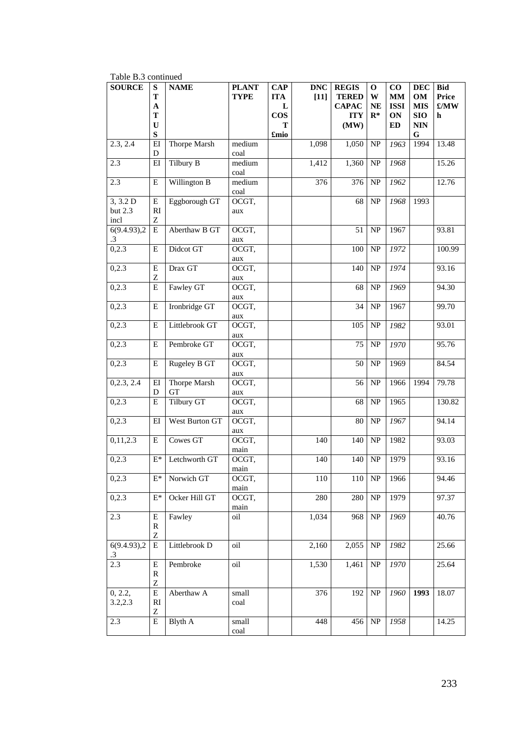| rable B.3 continued         |                                                      |                           |                             |                                                          |                      |                                                                    |                                        |                                                  |                                                                           |                                  |
|-----------------------------|------------------------------------------------------|---------------------------|-----------------------------|----------------------------------------------------------|----------------------|--------------------------------------------------------------------|----------------------------------------|--------------------------------------------------|---------------------------------------------------------------------------|----------------------------------|
| <b>SOURCE</b>               | ${\bf S}$<br>T<br>$\mathbf A$<br>T<br>U<br>${\bf S}$ | <b>NAME</b>               | <b>PLANT</b><br><b>TYPE</b> | <b>CAP</b><br><b>ITA</b><br>L<br><b>COS</b><br>Т<br>£mio | <b>DNC</b><br>$[11]$ | <b>REGIS</b><br><b>TERED</b><br><b>CAPAC</b><br><b>ITY</b><br>(MW) | $\mathbf 0$<br>W<br><b>NE</b><br>$R^*$ | $\bf CO$<br><b>MM</b><br><b>ISSI</b><br>ON<br>ED | <b>DEC</b><br>OM<br><b>MIS</b><br><b>SIO</b><br><b>NIN</b><br>$\mathbf G$ | <b>Bid</b><br>Price<br>£/MW<br>h |
| 2.3, 2.4                    | E<br>D                                               | Thorpe Marsh              | medium<br>coal              |                                                          | 1,098                | 1,050                                                              | NP                                     | 1963                                             | 1994                                                                      | 13.48                            |
| 2.3                         | E                                                    | Tilbury B                 | medium<br>coal              |                                                          | 1,412                | 1,360                                                              | <b>NP</b>                              | 1968                                             |                                                                           | 15.26                            |
| 2.3                         | E                                                    | Willington B              | medium<br>coal              |                                                          | 376                  | 376                                                                | NP                                     | 1962                                             |                                                                           | 12.76                            |
| 3, 3.2 D<br>but 2.3<br>incl | E<br>RI<br>Z                                         | Eggborough GT             | OCGT,<br>aux                |                                                          |                      | 68                                                                 | NP                                     | 1968                                             | 1993                                                                      |                                  |
| 6(9.4.93),2<br>$\cdot$ 3    | E                                                    | Aberthaw B GT             | OCGT,<br>aux                |                                                          |                      | 51                                                                 | NP                                     | 1967                                             |                                                                           | 93.81                            |
| 0,2.3                       | E                                                    | Didcot GT                 | OCGT,<br>aux                |                                                          |                      | 100                                                                | NP                                     | 1972                                             |                                                                           | 100.99                           |
| 0,2.3                       | E<br>Z                                               | Drax GT                   | OCGT,<br>aux                |                                                          |                      | 140                                                                | NP                                     | 1974                                             |                                                                           | 93.16                            |
| 0,2.3                       | ${\bf E}$                                            | Fawley GT                 | OCGT,<br>aux                |                                                          |                      | 68                                                                 | NP                                     | 1969                                             |                                                                           | 94.30                            |
| 0,2.3                       | E                                                    | Ironbridge GT             | OCGT,<br>aux                |                                                          |                      | 34                                                                 | NP                                     | 1967                                             |                                                                           | 99.70                            |
| 0,2.3                       | E                                                    | Littlebrook GT            | OCGT,<br>aux                |                                                          |                      | 105                                                                | <b>NP</b>                              | 1982                                             |                                                                           | 93.01                            |
| 0,2.3                       | E                                                    | Pembroke GT               | OCGT,<br>aux                |                                                          |                      | 75                                                                 | <b>NP</b>                              | 1970                                             |                                                                           | 95.76                            |
| 0,2.3                       | E                                                    | Rugeley B GT              | OCGT,<br>aux                |                                                          |                      | 50                                                                 | NP                                     | 1969                                             |                                                                           | 84.54                            |
| 0,2.3, 2.4                  | E<br>D                                               | Thorpe Marsh<br><b>GT</b> | OCGT,<br>aux                |                                                          |                      | 56                                                                 | NP                                     | 1966                                             | 1994                                                                      | 79.78                            |
| 0,2.3                       | E                                                    | Tilbury GT                | OCGT,<br>aux                |                                                          |                      | 68                                                                 | NP                                     | 1965                                             |                                                                           | 130.82                           |
| 0,2.3                       | EI                                                   | West Burton GT            | OCGT,<br>aux                |                                                          |                      | 80                                                                 | NP                                     | 1967                                             |                                                                           | 94.14                            |
| 0,11,2.3                    | E                                                    | Cowes GT                  | OCGT,<br>main               |                                                          | 140                  | 140                                                                | NP                                     | 1982                                             |                                                                           | 93.03                            |
| 0,2.3                       | $E^*$                                                | Letchworth GT             | OCGT,<br>main               |                                                          | 140                  | 140                                                                | NP                                     | 1979                                             |                                                                           | 93.16                            |
| 0,2.3                       | E*                                                   | Norwich GT                | OCGT,<br>main               |                                                          | 110                  | 110                                                                | <b>NP</b>                              | 1966                                             |                                                                           | 94.46                            |
| 0,2.3                       | E*                                                   | Ocker Hill GT             | OCGT,<br>main               |                                                          | 280                  | 280                                                                | NP                                     | 1979                                             |                                                                           | 97.37                            |
| 2.3                         | Е<br>$\mathbb{R}$<br>Z                               | Fawley                    | oil                         |                                                          | 1,034                | 968                                                                | NP                                     | 1969                                             |                                                                           | 40.76                            |
| 6(9.4.93),2<br>$\cdot$ 3    | E                                                    | Littlebrook D             | oil                         |                                                          | 2,160                | 2,055                                                              | NP                                     | 1982                                             |                                                                           | 25.66                            |
| 2.3                         | ${\bf E}$<br>$\mathbb{R}$<br>Z                       | Pembroke                  | oil                         |                                                          | 1,530                | 1,461                                                              | NP                                     | 1970                                             |                                                                           | 25.64                            |
| 0, 2.2,<br>3.2, 2.3         | ${\bf E}$<br>RI<br>Z                                 | Aberthaw A                | small<br>coal               |                                                          | 376                  | 192                                                                | NP                                     | 1960                                             | 1993                                                                      | 18.07                            |
| 2.3                         | Е                                                    | <b>Blyth A</b>            | small<br>coal               |                                                          | 448                  | 456                                                                | NP                                     | 1958                                             |                                                                           | 14.25                            |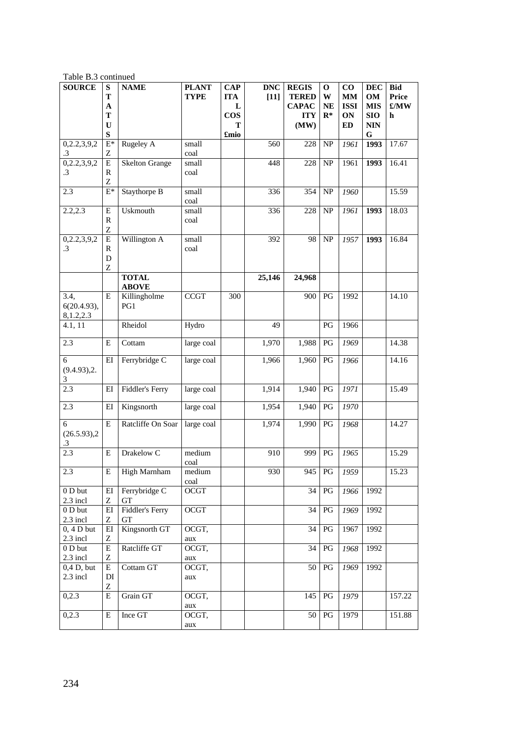| <b>SOURCE</b>    | S                          | <b>NAME</b>           | <b>PLANT</b> | $\bf CAP$  | <b>DNC</b> | <b>REGIS</b> | 0                      | $\bf CO$    | <b>DEC</b> | <b>Bid</b>   |
|------------------|----------------------------|-----------------------|--------------|------------|------------|--------------|------------------------|-------------|------------|--------------|
|                  | T                          |                       | <b>TYPE</b>  | <b>ITA</b> | $[11]$     | <b>TERED</b> | W                      | <b>MM</b>   | <b>OM</b>  | <b>Price</b> |
|                  | A                          |                       |              | L          |            | <b>CAPAC</b> | <b>NE</b>              | <b>ISSI</b> | <b>MIS</b> | £/MW         |
|                  | T                          |                       |              | $\cos$     |            | <b>ITY</b>   | $R^*$                  | ON          | <b>SIO</b> | h            |
|                  | $\mathbf U$                |                       |              | т          |            | (MW)         |                        | <b>ED</b>   | <b>NIN</b> |              |
|                  | ${\bf S}$                  |                       |              | £mio       |            |              |                        |             | G          |              |
| 0,2.2,3,9,2      | $E^*$                      | Rugeley A             | small        |            | 560        | 228          | <b>NP</b>              | 1961        | 1993       | 17.67        |
| $\cdot$ 3        | Ζ                          |                       | coal         |            |            |              |                        |             |            |              |
| 0,2.2,3,9,2      | E                          | <b>Skelton Grange</b> | small        |            | 448        | 228          | NP                     | 1961        | 1993       | 16.41        |
| $\cdot$ 3        | $\mathbb{R}$               |                       | coal         |            |            |              |                        |             |            |              |
|                  | Z                          |                       |              |            |            |              |                        |             |            |              |
| 2.3              | $E^*$                      | Staythorpe B          | small        |            | 336        | 354          | NP                     | 1960        |            | 15.59        |
|                  |                            |                       | coal         |            |            |              |                        |             |            |              |
| 2.2, 2.3         | E                          | Uskmouth              | small        |            | 336        | 228          | NP                     | 1961        | 1993       | 18.03        |
|                  | $\mathbb{R}$               |                       | coal         |            |            |              |                        |             |            |              |
|                  | Z                          |                       |              |            |            |              |                        |             |            |              |
| 0,2.2,3,9,2      | Е                          | Willington A          | small        |            | 392        | 98           | NP                     | 1957        | 1993       | 16.84        |
| $\cdot$ 3        | R                          |                       | coal         |            |            |              |                        |             |            |              |
|                  | $\mathbf D$                |                       |              |            |            |              |                        |             |            |              |
|                  | Z                          |                       |              |            |            |              |                        |             |            |              |
|                  |                            | <b>TOTAL</b>          |              |            | 25,146     | 24,968       |                        |             |            |              |
|                  |                            | <b>ABOVE</b>          |              |            |            |              |                        |             |            |              |
| 3.4,             | E                          | Killingholme          | CCGT         | 300        |            | 900          | PG                     | 1992        |            | 14.10        |
| 6(20.4.93),      |                            | PG1                   |              |            |            |              |                        |             |            |              |
| 8,1.2,2.3        |                            |                       |              |            |            |              |                        |             |            |              |
| 4.1, 11          |                            | Rheidol               | Hydro        |            | 49         |              | PG                     | 1966        |            |              |
|                  |                            |                       |              |            |            |              |                        |             |            |              |
| 2.3              | E                          | Cottam                | large coal   |            | 1,970      | 1,988        | PG                     | 1969        |            | 14.38        |
|                  | EI                         | Ferrybridge C         |              |            | 1,966      | 1,960        | PG                     |             |            | 14.16        |
| 6                |                            |                       | large coal   |            |            |              |                        | 1966        |            |              |
| (9.4.93),2.<br>3 |                            |                       |              |            |            |              |                        |             |            |              |
| 2.3              | EI                         | Fiddler's Ferry       | large coal   |            | 1,914      | 1,940        | PG                     | 1971        |            | 15.49        |
|                  |                            |                       |              |            |            |              |                        |             |            |              |
| 2.3              | E                          | Kingsnorth            | large coal   |            | 1,954      | 1,940        | PG                     | 1970        |            |              |
|                  |                            |                       |              |            |            |              |                        |             |            |              |
| 6                | $\mathbf E$                | Ratcliffe On Soar     | large coal   |            | 1,974      | 1,990        | PG                     | 1968        |            | 14.27        |
| (26.5.93),2      |                            |                       |              |            |            |              |                        |             |            |              |
| $\cdot$ 3        |                            |                       |              |            |            |              |                        |             |            |              |
| 2.3              | E                          | Drakelow <sub>C</sub> | medium       |            | 910        | 999          | PG                     | 1965        |            | 15.29        |
|                  |                            |                       | coal         |            |            |              |                        |             |            |              |
| 2.3              | E                          | High Marnham          | medium       |            | 930        |              | 945 PG                 | 1959        |            | 15.23        |
|                  |                            |                       | coal         |            |            |              |                        |             |            |              |
| 0 D but          | $E$ I                      | Ferrybridge C         | OCGT         |            |            | 34           | PG                     | 1966        | 1992       |              |
| 2.3 incl         | Z                          | <b>GT</b>             |              |            |            |              |                        |             |            |              |
| $0$ D but        | $\mathop{\rm EI}\nolimits$ | Fiddler's Ferry       | OCGT         |            |            | 34           | PG                     | 1969        | 1992       |              |
| 2.3 incl         | Ζ                          | ${\rm GT}$            |              |            |            |              |                        |             |            |              |
| $0, 4$ D but     | EI                         | Kingsnorth GT         | OCGT,        |            |            | 34           | PG                     | 1967        | 1992       |              |
| 2.3 incl         | Z                          |                       | aux          |            |            |              |                        |             |            |              |
| $0$ D but        | ${\bf E}$                  | Ratcliffe GT          | OCGT,        |            |            | 34           | PG                     | 1968        | 1992       |              |
| 2.3 incl         | Ζ                          |                       | aux          |            |            |              |                        |             |            |              |
| 0,4 D, but       | Е                          | Cottam GT             | OCGT,        |            |            | 50           | $\mathbf{P}\mathbf{G}$ | 1969        | 1992       |              |
| 2.3 incl         | DI                         |                       | aux          |            |            |              |                        |             |            |              |
|                  | Z                          |                       |              |            |            |              |                        |             |            |              |
| 0,2.3            | E                          | Grain GT              | OCGT,        |            |            | 145          | PG                     | 1979        |            | 157.22       |
|                  |                            |                       | aux          |            |            |              |                        |             |            |              |
| 0,2.3            | E                          | Ince GT               | OCGT,        |            |            | 50           | PG                     | 1979        |            | 151.88       |
|                  |                            |                       | aux          |            |            |              |                        |             |            |              |

Table B.3 continued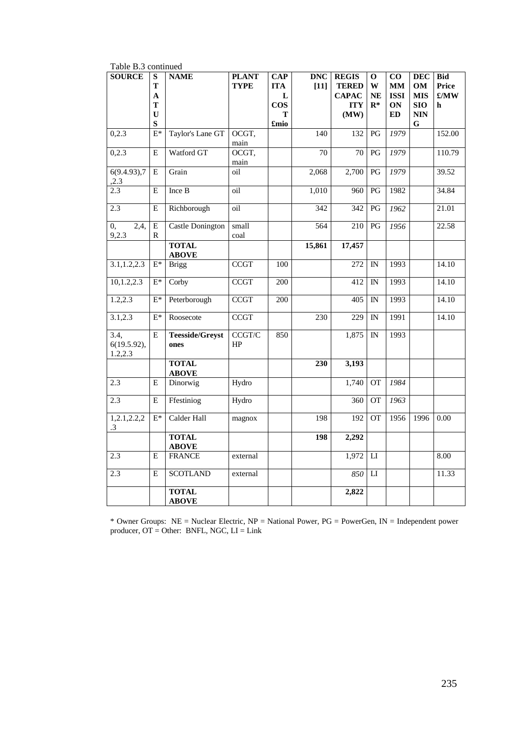| raon <i>p.o</i> communi         |                                                                 |                                |                             |                                                     |                      |                                                                    |                                                  |                                                                       |                                                                         |                                                   |
|---------------------------------|-----------------------------------------------------------------|--------------------------------|-----------------------------|-----------------------------------------------------|----------------------|--------------------------------------------------------------------|--------------------------------------------------|-----------------------------------------------------------------------|-------------------------------------------------------------------------|---------------------------------------------------|
| <b>SOURCE</b>                   | ${\bf S}$<br>T<br>$\mathbf{A}$<br>T<br>$\mathbf U$<br>${\bf S}$ | <b>NAME</b>                    | <b>PLANT</b><br><b>TYPE</b> | $\bf CAP$<br><b>ITA</b><br>L<br>$\cos$<br>T<br>£mio | <b>DNC</b><br>$[11]$ | <b>REGIS</b><br><b>TERED</b><br><b>CAPAC</b><br><b>ITY</b><br>(MW) | $\mathbf 0$<br>$\mathbf W$<br><b>NE</b><br>$R^*$ | $\bf CO$<br>$\mathbf{M}\mathbf{M}$<br><b>ISSI</b><br>ON<br>${\bf ED}$ | <b>DEC</b><br>OM<br><b>MIS</b><br><b>SIO</b><br><b>NIN</b><br>${\bf G}$ | <b>Bid</b><br>Price<br>$\pounds/\mathbf{MW}$<br>h |
| 0,2.3                           | $\mathrm{E}^*$                                                  | Taylor's Lane GT               | OCGT,<br>main               |                                                     | 140                  | 132                                                                | PG                                               | 1979                                                                  |                                                                         | 152.00                                            |
| 0,2.3                           | ${\bf E}$                                                       | Watford GT                     | OCGT,<br>main               |                                                     | 70                   | 70                                                                 | $\mathbf{P}\mathbf{G}$                           | 1979                                                                  |                                                                         | 110.79                                            |
| 6(9.4.93),7<br>, 2.3            | E                                                               | Grain                          | oil                         |                                                     | 2,068                | 2,700                                                              | PG                                               | 1979                                                                  |                                                                         | 39.52                                             |
| 2.3                             | E                                                               | Ince B                         | oil                         |                                                     | 1,010                | 960                                                                | $\mathbf{P}\mathbf{G}$                           | 1982                                                                  |                                                                         | 34.84                                             |
| 2.3                             | Е                                                               | Richborough                    | oil                         |                                                     | 342                  | 342                                                                | $\mathbf{P}\mathbf{G}$                           | 1962                                                                  |                                                                         | 21.01                                             |
| 2,4,<br>0,<br>9,2.3             | ${\bf E}$<br>R                                                  | <b>Castle Donington</b>        | small<br>coal               |                                                     | 564                  | 210                                                                | PG                                               | 1956                                                                  |                                                                         | 22.58                                             |
|                                 |                                                                 | <b>TOTAL</b><br><b>ABOVE</b>   |                             |                                                     | 15,861               | 17,457                                                             |                                                  |                                                                       |                                                                         |                                                   |
| 3.1, 1.2, 2.3                   | $E^*$                                                           | <b>Brigg</b>                   | <b>CCGT</b>                 | 100                                                 |                      | 272                                                                | IN                                               | 1993                                                                  |                                                                         | 14.10                                             |
| 10, 1.2, 2.3                    | $E^*$                                                           | Corby                          | <b>CCGT</b>                 | 200                                                 |                      | 412                                                                | $\mathbb{N}$                                     | 1993                                                                  |                                                                         | 14.10                                             |
| 1.2, 2.3                        | $E^*$                                                           | Peterborough                   | <b>CCGT</b>                 | 200                                                 |                      | $\overline{405}$                                                   | IN                                               | 1993                                                                  |                                                                         | 14.10                                             |
| 3.1, 2.3                        | $E^*$                                                           | Roosecote                      | <b>CCGT</b>                 |                                                     | 230                  | 229                                                                | $\mathbb{N}$                                     | 1991                                                                  |                                                                         | 14.10                                             |
| 3.4.<br>6(19.5.92),<br>1.2, 2.3 | E                                                               | <b>Teesside/Greyst</b><br>ones | CCGT/C<br>HP                | 850                                                 |                      | 1,875                                                              | IN                                               | 1993                                                                  |                                                                         |                                                   |
|                                 |                                                                 | <b>TOTAL</b><br><b>ABOVE</b>   |                             |                                                     | 230                  | 3,193                                                              |                                                  |                                                                       |                                                                         |                                                   |
| 2.3                             | E                                                               | Dinorwig                       | Hydro                       |                                                     |                      | 1,740                                                              | <b>OT</b>                                        | 1984                                                                  |                                                                         |                                                   |
| 2.3                             | E                                                               | Ffestiniog                     | Hydro                       |                                                     |                      | 360                                                                | <b>OT</b>                                        | 1963                                                                  |                                                                         |                                                   |
| 1,2.1,2.2,2<br>$\cdot$ 3        | $E^*$                                                           | Calder Hall                    | magnox                      |                                                     | 198                  | 192                                                                | <b>OT</b>                                        | 1956                                                                  | 1996                                                                    | $0.00\,$                                          |
|                                 |                                                                 | <b>TOTAL</b><br><b>ABOVE</b>   |                             |                                                     | 198                  | 2,292                                                              |                                                  |                                                                       |                                                                         |                                                   |
| 2.3                             | Е                                                               | <b>FRANCE</b>                  | external                    |                                                     |                      | 1,972                                                              | $_{\rm LI}$                                      |                                                                       |                                                                         | 8.00                                              |
| 2.3                             | E                                                               | <b>SCOTLAND</b>                | external                    |                                                     |                      | 850                                                                | ${\rm LI}$                                       |                                                                       |                                                                         | 11.33                                             |
|                                 |                                                                 | <b>TOTAL</b><br><b>ABOVE</b>   |                             |                                                     |                      | 2,822                                                              |                                                  |                                                                       |                                                                         |                                                   |

Table B.3 continued

\* Owner Groups: NE = Nuclear Electric, NP = National Power, PG = PowerGen, IN = Independent power producer, OT = Other: BNFL, NGC, LI = Link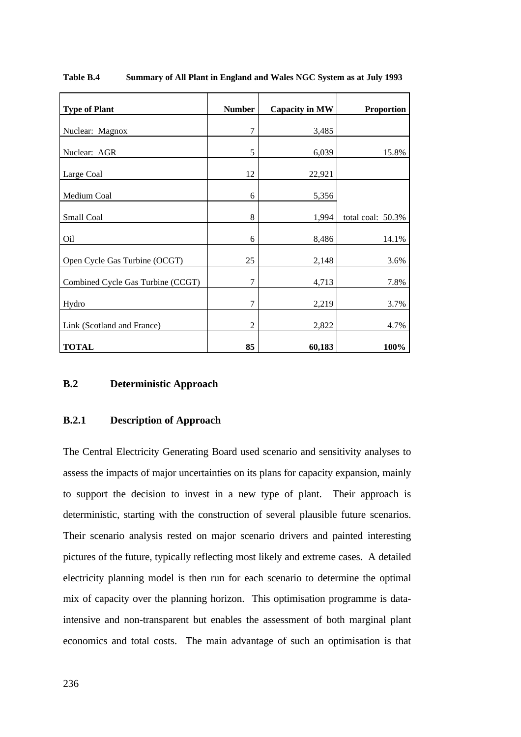| <b>Type of Plant</b>              | <b>Number</b>  | <b>Capacity in MW</b> | <b>Proportion</b> |
|-----------------------------------|----------------|-----------------------|-------------------|
| Nuclear: Magnox                   | 7              | 3,485                 |                   |
| Nuclear: AGR                      | 5              | 6,039                 | 15.8%             |
| Large Coal                        | 12             | 22,921                |                   |
| Medium Coal                       | 6              | 5,356                 |                   |
| Small Coal                        | 8              | 1,994                 | total coal: 50.3% |
| Oil                               | 6              | 8,486                 | 14.1%             |
| Open Cycle Gas Turbine (OCGT)     | 25             | 2,148                 | 3.6%              |
| Combined Cycle Gas Turbine (CCGT) | 7              | 4,713                 | 7.8%              |
| Hydro                             | 7              | 2,219                 | 3.7%              |
| Link (Scotland and France)        | $\overline{2}$ | 2,822                 | 4.7%              |
| <b>TOTAL</b>                      | 85             | 60,183                | 100%              |

**Table B.4 Summary of All Plant in England and Wales NGC System as at July 1993**

## **B.2 Deterministic Approach**

# **B.2.1 Description of Approach**

The Central Electricity Generating Board used scenario and sensitivity analyses to assess the impacts of major uncertainties on its plans for capacity expansion, mainly to support the decision to invest in a new type of plant. Their approach is deterministic, starting with the construction of several plausible future scenarios. Their scenario analysis rested on major scenario drivers and painted interesting pictures of the future, typically reflecting most likely and extreme cases. A detailed electricity planning model is then run for each scenario to determine the optimal mix of capacity over the planning horizon. This optimisation programme is dataintensive and non-transparent but enables the assessment of both marginal plant economics and total costs. The main advantage of such an optimisation is that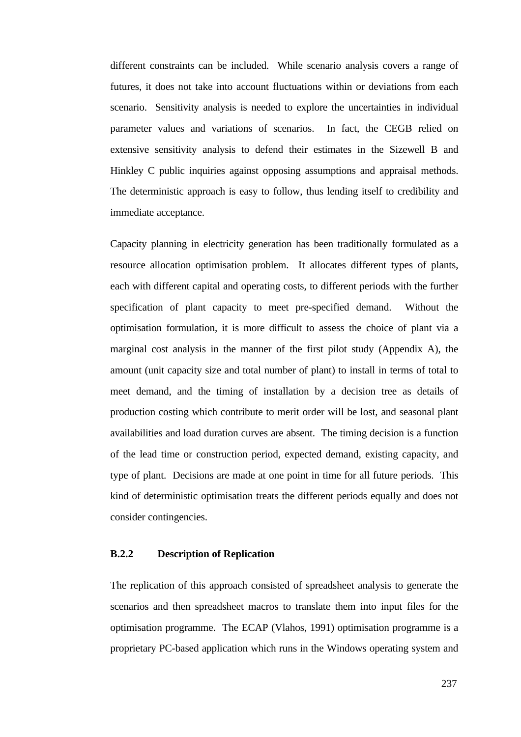different constraints can be included. While scenario analysis covers a range of futures, it does not take into account fluctuations within or deviations from each scenario. Sensitivity analysis is needed to explore the uncertainties in individual parameter values and variations of scenarios. In fact, the CEGB relied on extensive sensitivity analysis to defend their estimates in the Sizewell B and Hinkley C public inquiries against opposing assumptions and appraisal methods. The deterministic approach is easy to follow, thus lending itself to credibility and immediate acceptance.

Capacity planning in electricity generation has been traditionally formulated as a resource allocation optimisation problem. It allocates different types of plants, each with different capital and operating costs, to different periods with the further specification of plant capacity to meet pre-specified demand. Without the optimisation formulation, it is more difficult to assess the choice of plant via a marginal cost analysis in the manner of the first pilot study (Appendix A), the amount (unit capacity size and total number of plant) to install in terms of total to meet demand, and the timing of installation by a decision tree as details of production costing which contribute to merit order will be lost, and seasonal plant availabilities and load duration curves are absent. The timing decision is a function of the lead time or construction period, expected demand, existing capacity, and type of plant. Decisions are made at one point in time for all future periods. This kind of deterministic optimisation treats the different periods equally and does not consider contingencies.

# **B.2.2 Description of Replication**

The replication of this approach consisted of spreadsheet analysis to generate the scenarios and then spreadsheet macros to translate them into input files for the optimisation programme. The ECAP (Vlahos, 1991) optimisation programme is a proprietary PC-based application which runs in the Windows operating system and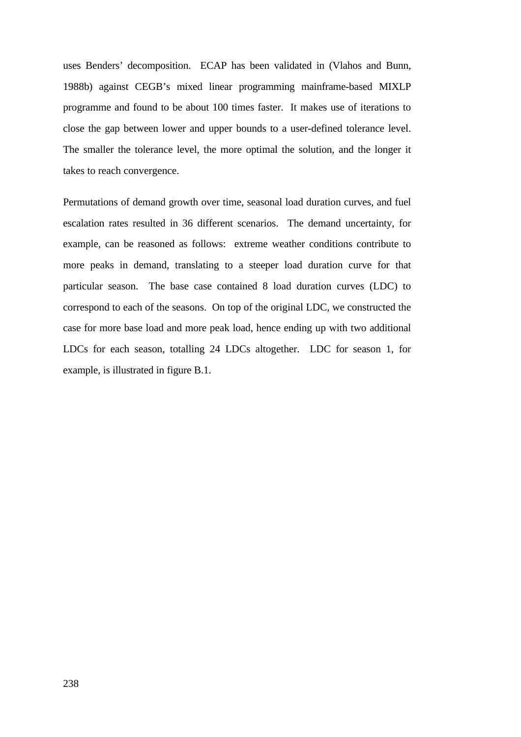uses Benders' decomposition. ECAP has been validated in (Vlahos and Bunn, 1988b) against CEGB's mixed linear programming mainframe-based MIXLP programme and found to be about 100 times faster. It makes use of iterations to close the gap between lower and upper bounds to a user-defined tolerance level. The smaller the tolerance level, the more optimal the solution, and the longer it takes to reach convergence.

Permutations of demand growth over time, seasonal load duration curves, and fuel escalation rates resulted in 36 different scenarios. The demand uncertainty, for example, can be reasoned as follows: extreme weather conditions contribute to more peaks in demand, translating to a steeper load duration curve for that particular season. The base case contained 8 load duration curves (LDC) to correspond to each of the seasons. On top of the original LDC, we constructed the case for more base load and more peak load, hence ending up with two additional LDCs for each season, totalling 24 LDCs altogether. LDC for season 1, for example, is illustrated in figure B.1.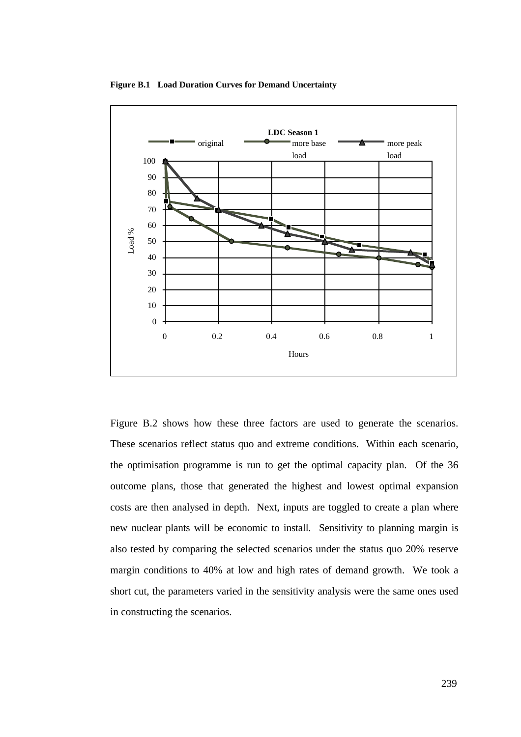

**Figure B.1 Load Duration Curves for Demand Uncertainty**

Figure B.2 shows how these three factors are used to generate the scenarios. These scenarios reflect status quo and extreme conditions. Within each scenario, the optimisation programme is run to get the optimal capacity plan. Of the 36 outcome plans, those that generated the highest and lowest optimal expansion costs are then analysed in depth. Next, inputs are toggled to create a plan where new nuclear plants will be economic to install. Sensitivity to planning margin is also tested by comparing the selected scenarios under the status quo 20% reserve margin conditions to 40% at low and high rates of demand growth. We took a short cut, the parameters varied in the sensitivity analysis were the same ones used in constructing the scenarios.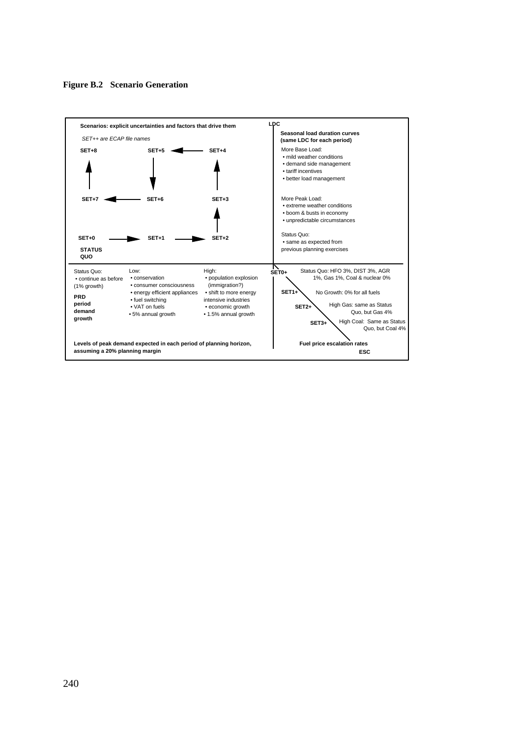

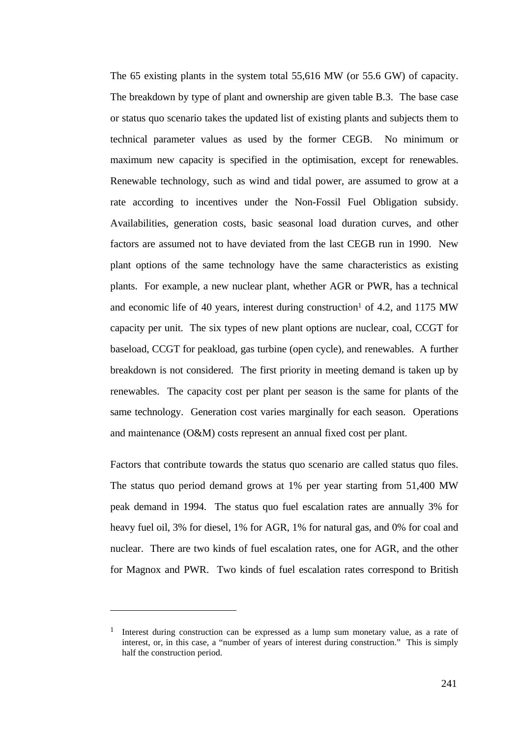The 65 existing plants in the system total 55,616 MW (or 55.6 GW) of capacity. The breakdown by type of plant and ownership are given table B.3. The base case or status quo scenario takes the updated list of existing plants and subjects them to technical parameter values as used by the former CEGB. No minimum or maximum new capacity is specified in the optimisation, except for renewables. Renewable technology, such as wind and tidal power, are assumed to grow at a rate according to incentives under the Non-Fossil Fuel Obligation subsidy. Availabilities, generation costs, basic seasonal load duration curves, and other factors are assumed not to have deviated from the last CEGB run in 1990. New plant options of the same technology have the same characteristics as existing plants. For example, a new nuclear plant, whether AGR or PWR, has a technical and economic life of 40 years, interest during construction<sup>1</sup> of 4.2, and 1175 MW capacity per unit. The six types of new plant options are nuclear, coal, CCGT for baseload, CCGT for peakload, gas turbine (open cycle), and renewables. A further breakdown is not considered. The first priority in meeting demand is taken up by renewables. The capacity cost per plant per season is the same for plants of the same technology. Generation cost varies marginally for each season. Operations and maintenance (O&M) costs represent an annual fixed cost per plant.

Factors that contribute towards the status quo scenario are called status quo files. The status quo period demand grows at 1% per year starting from 51,400 MW peak demand in 1994. The status quo fuel escalation rates are annually 3% for heavy fuel oil, 3% for diesel, 1% for AGR, 1% for natural gas, and 0% for coal and nuclear. There are two kinds of fuel escalation rates, one for AGR, and the other for Magnox and PWR. Two kinds of fuel escalation rates correspond to British

 $\overline{a}$ 

<sup>&</sup>lt;sup>1</sup> Interest during construction can be expressed as a lump sum monetary value, as a rate of interest, or, in this case, a "number of years of interest during construction." This is simply half the construction period.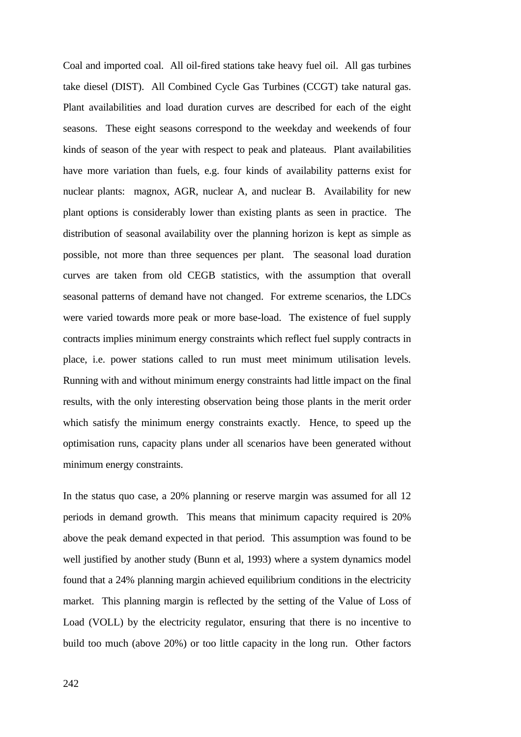Coal and imported coal. All oil-fired stations take heavy fuel oil. All gas turbines take diesel (DIST). All Combined Cycle Gas Turbines (CCGT) take natural gas. Plant availabilities and load duration curves are described for each of the eight seasons. These eight seasons correspond to the weekday and weekends of four kinds of season of the year with respect to peak and plateaus. Plant availabilities have more variation than fuels, e.g. four kinds of availability patterns exist for nuclear plants: magnox, AGR, nuclear A, and nuclear B. Availability for new plant options is considerably lower than existing plants as seen in practice. The distribution of seasonal availability over the planning horizon is kept as simple as possible, not more than three sequences per plant. The seasonal load duration curves are taken from old CEGB statistics, with the assumption that overall seasonal patterns of demand have not changed. For extreme scenarios, the LDCs were varied towards more peak or more base-load. The existence of fuel supply contracts implies minimum energy constraints which reflect fuel supply contracts in place, i.e. power stations called to run must meet minimum utilisation levels. Running with and without minimum energy constraints had little impact on the final results, with the only interesting observation being those plants in the merit order which satisfy the minimum energy constraints exactly. Hence, to speed up the optimisation runs, capacity plans under all scenarios have been generated without minimum energy constraints.

In the status quo case, a 20% planning or reserve margin was assumed for all 12 periods in demand growth. This means that minimum capacity required is 20% above the peak demand expected in that period. This assumption was found to be well justified by another study (Bunn et al, 1993) where a system dynamics model found that a 24% planning margin achieved equilibrium conditions in the electricity market. This planning margin is reflected by the setting of the Value of Loss of Load (VOLL) by the electricity regulator, ensuring that there is no incentive to build too much (above 20%) or too little capacity in the long run. Other factors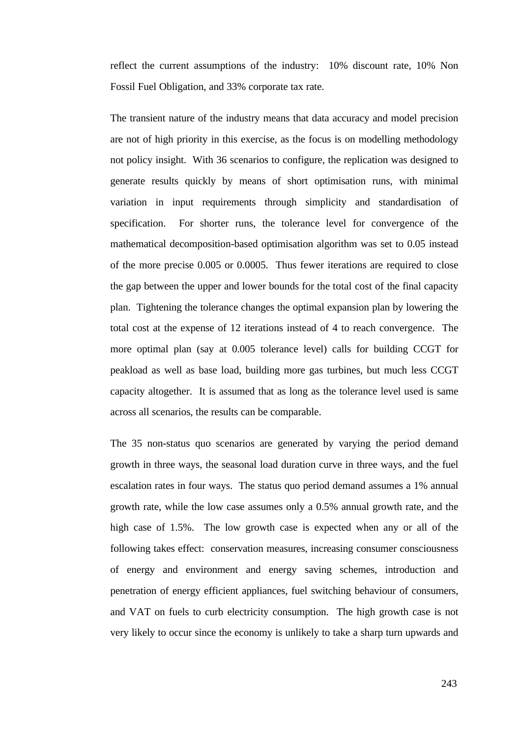reflect the current assumptions of the industry: 10% discount rate, 10% Non Fossil Fuel Obligation, and 33% corporate tax rate.

The transient nature of the industry means that data accuracy and model precision are not of high priority in this exercise, as the focus is on modelling methodology not policy insight. With 36 scenarios to configure, the replication was designed to generate results quickly by means of short optimisation runs, with minimal variation in input requirements through simplicity and standardisation of specification. For shorter runs, the tolerance level for convergence of the mathematical decomposition-based optimisation algorithm was set to 0.05 instead of the more precise 0.005 or 0.0005. Thus fewer iterations are required to close the gap between the upper and lower bounds for the total cost of the final capacity plan. Tightening the tolerance changes the optimal expansion plan by lowering the total cost at the expense of 12 iterations instead of 4 to reach convergence. The more optimal plan (say at 0.005 tolerance level) calls for building CCGT for peakload as well as base load, building more gas turbines, but much less CCGT capacity altogether. It is assumed that as long as the tolerance level used is same across all scenarios, the results can be comparable.

The 35 non-status quo scenarios are generated by varying the period demand growth in three ways, the seasonal load duration curve in three ways, and the fuel escalation rates in four ways. The status quo period demand assumes a 1% annual growth rate, while the low case assumes only a 0.5% annual growth rate, and the high case of 1.5%. The low growth case is expected when any or all of the following takes effect: conservation measures, increasing consumer consciousness of energy and environment and energy saving schemes, introduction and penetration of energy efficient appliances, fuel switching behaviour of consumers, and VAT on fuels to curb electricity consumption. The high growth case is not very likely to occur since the economy is unlikely to take a sharp turn upwards and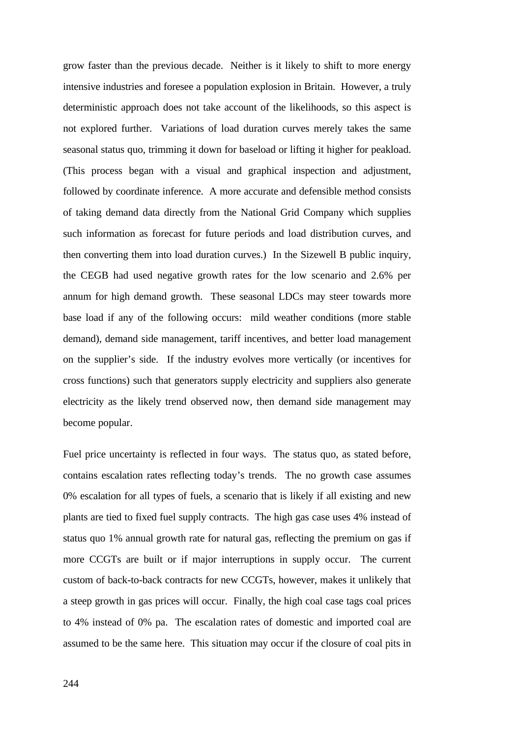grow faster than the previous decade. Neither is it likely to shift to more energy intensive industries and foresee a population explosion in Britain. However, a truly deterministic approach does not take account of the likelihoods, so this aspect is not explored further. Variations of load duration curves merely takes the same seasonal status quo, trimming it down for baseload or lifting it higher for peakload. (This process began with a visual and graphical inspection and adjustment, followed by coordinate inference. A more accurate and defensible method consists of taking demand data directly from the National Grid Company which supplies such information as forecast for future periods and load distribution curves, and then converting them into load duration curves.) In the Sizewell B public inquiry, the CEGB had used negative growth rates for the low scenario and 2.6% per annum for high demand growth. These seasonal LDCs may steer towards more base load if any of the following occurs: mild weather conditions (more stable demand), demand side management, tariff incentives, and better load management on the supplier's side. If the industry evolves more vertically (or incentives for cross functions) such that generators supply electricity and suppliers also generate electricity as the likely trend observed now, then demand side management may become popular.

Fuel price uncertainty is reflected in four ways. The status quo, as stated before, contains escalation rates reflecting today's trends. The no growth case assumes 0% escalation for all types of fuels, a scenario that is likely if all existing and new plants are tied to fixed fuel supply contracts. The high gas case uses 4% instead of status quo 1% annual growth rate for natural gas, reflecting the premium on gas if more CCGTs are built or if major interruptions in supply occur. The current custom of back-to-back contracts for new CCGTs, however, makes it unlikely that a steep growth in gas prices will occur. Finally, the high coal case tags coal prices to 4% instead of 0% pa. The escalation rates of domestic and imported coal are assumed to be the same here. This situation may occur if the closure of coal pits in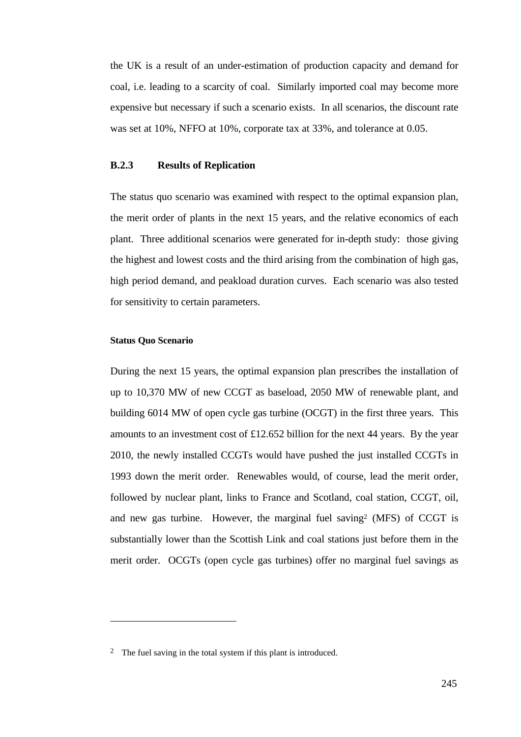the UK is a result of an under-estimation of production capacity and demand for coal, i.e. leading to a scarcity of coal. Similarly imported coal may become more expensive but necessary if such a scenario exists. In all scenarios, the discount rate was set at 10%, NFFO at 10%, corporate tax at 33%, and tolerance at 0.05.

### **B.2.3 Results of Replication**

The status quo scenario was examined with respect to the optimal expansion plan, the merit order of plants in the next 15 years, and the relative economics of each plant. Three additional scenarios were generated for in-depth study: those giving the highest and lowest costs and the third arising from the combination of high gas, high period demand, and peakload duration curves. Each scenario was also tested for sensitivity to certain parameters.

## **Status Quo Scenario**

 $\overline{a}$ 

During the next 15 years, the optimal expansion plan prescribes the installation of up to 10,370 MW of new CCGT as baseload, 2050 MW of renewable plant, and building 6014 MW of open cycle gas turbine (OCGT) in the first three years. This amounts to an investment cost of £12.652 billion for the next 44 years. By the year 2010, the newly installed CCGTs would have pushed the just installed CCGTs in 1993 down the merit order. Renewables would, of course, lead the merit order, followed by nuclear plant, links to France and Scotland, coal station, CCGT, oil, and new gas turbine. However, the marginal fuel saving<sup>2</sup> (MFS) of CCGT is substantially lower than the Scottish Link and coal stations just before them in the merit order. OCGTs (open cycle gas turbines) offer no marginal fuel savings as

<sup>2</sup> The fuel saving in the total system if this plant is introduced.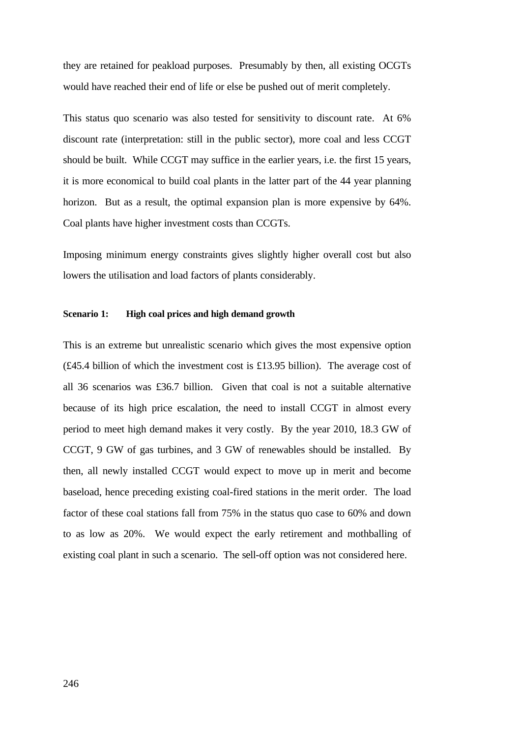they are retained for peakload purposes. Presumably by then, all existing OCGTs would have reached their end of life or else be pushed out of merit completely.

This status quo scenario was also tested for sensitivity to discount rate. At 6% discount rate (interpretation: still in the public sector), more coal and less CCGT should be built. While CCGT may suffice in the earlier years, i.e. the first 15 years, it is more economical to build coal plants in the latter part of the 44 year planning horizon. But as a result, the optimal expansion plan is more expensive by 64%. Coal plants have higher investment costs than CCGTs.

Imposing minimum energy constraints gives slightly higher overall cost but also lowers the utilisation and load factors of plants considerably.

#### **Scenario 1: High coal prices and high demand growth**

This is an extreme but unrealistic scenario which gives the most expensive option (£45.4 billion of which the investment cost is £13.95 billion). The average cost of all 36 scenarios was £36.7 billion. Given that coal is not a suitable alternative because of its high price escalation, the need to install CCGT in almost every period to meet high demand makes it very costly. By the year 2010, 18.3 GW of CCGT, 9 GW of gas turbines, and 3 GW of renewables should be installed. By then, all newly installed CCGT would expect to move up in merit and become baseload, hence preceding existing coal-fired stations in the merit order. The load factor of these coal stations fall from 75% in the status quo case to 60% and down to as low as 20%. We would expect the early retirement and mothballing of existing coal plant in such a scenario. The sell-off option was not considered here.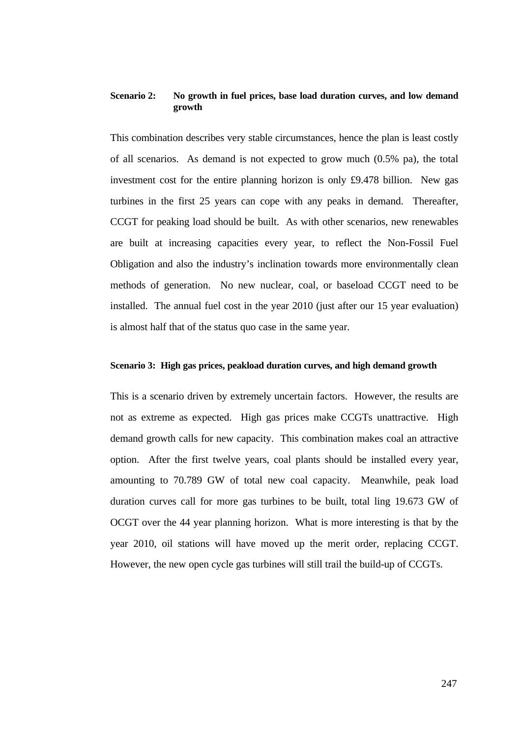# **Scenario 2: No growth in fuel prices, base load duration curves, and low demand growth**

This combination describes very stable circumstances, hence the plan is least costly of all scenarios. As demand is not expected to grow much  $(0.5\%$  pa), the total investment cost for the entire planning horizon is only £9.478 billion. New gas turbines in the first 25 years can cope with any peaks in demand. Thereafter, CCGT for peaking load should be built. As with other scenarios, new renewables are built at increasing capacities every year, to reflect the Non-Fossil Fuel Obligation and also the industry's inclination towards more environmentally clean methods of generation. No new nuclear, coal, or baseload CCGT need to be installed. The annual fuel cost in the year 2010 (just after our 15 year evaluation) is almost half that of the status quo case in the same year.

#### **Scenario 3: High gas prices, peakload duration curves, and high demand growth**

This is a scenario driven by extremely uncertain factors. However, the results are not as extreme as expected. High gas prices make CCGTs unattractive. High demand growth calls for new capacity. This combination makes coal an attractive option. After the first twelve years, coal plants should be installed every year, amounting to 70.789 GW of total new coal capacity. Meanwhile, peak load duration curves call for more gas turbines to be built, total ling 19.673 GW of OCGT over the 44 year planning horizon. What is more interesting is that by the year 2010, oil stations will have moved up the merit order, replacing CCGT. However, the new open cycle gas turbines will still trail the build-up of CCGTs.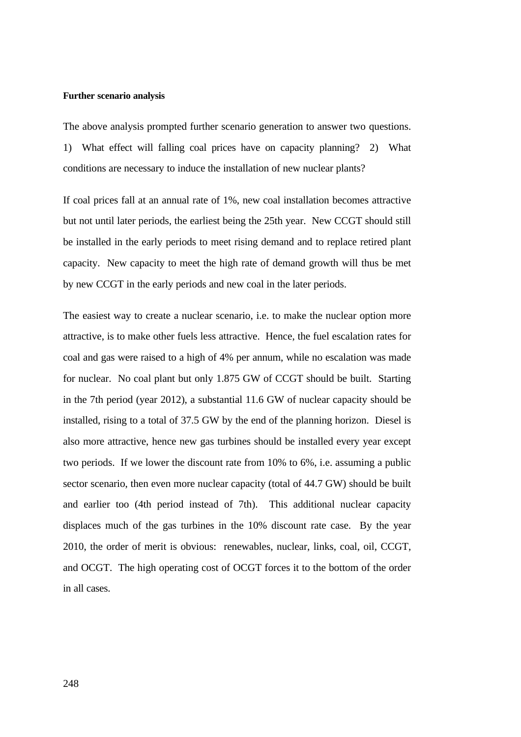#### **Further scenario analysis**

The above analysis prompted further scenario generation to answer two questions.

1) What effect will falling coal prices have on capacity planning? 2) What conditions are necessary to induce the installation of new nuclear plants?

If coal prices fall at an annual rate of 1%, new coal installation becomes attractive but not until later periods, the earliest being the 25th year. New CCGT should still be installed in the early periods to meet rising demand and to replace retired plant capacity. New capacity to meet the high rate of demand growth will thus be met by new CCGT in the early periods and new coal in the later periods.

The easiest way to create a nuclear scenario, i.e. to make the nuclear option more attractive, is to make other fuels less attractive. Hence, the fuel escalation rates for coal and gas were raised to a high of 4% per annum, while no escalation was made for nuclear. No coal plant but only 1.875 GW of CCGT should be built. Starting in the 7th period (year 2012), a substantial 11.6 GW of nuclear capacity should be installed, rising to a total of 37.5 GW by the end of the planning horizon. Diesel is also more attractive, hence new gas turbines should be installed every year except two periods. If we lower the discount rate from 10% to 6%, i.e. assuming a public sector scenario, then even more nuclear capacity (total of 44.7 GW) should be built and earlier too (4th period instead of 7th). This additional nuclear capacity displaces much of the gas turbines in the 10% discount rate case. By the year 2010, the order of merit is obvious: renewables, nuclear, links, coal, oil, CCGT, and OCGT. The high operating cost of OCGT forces it to the bottom of the order in all cases.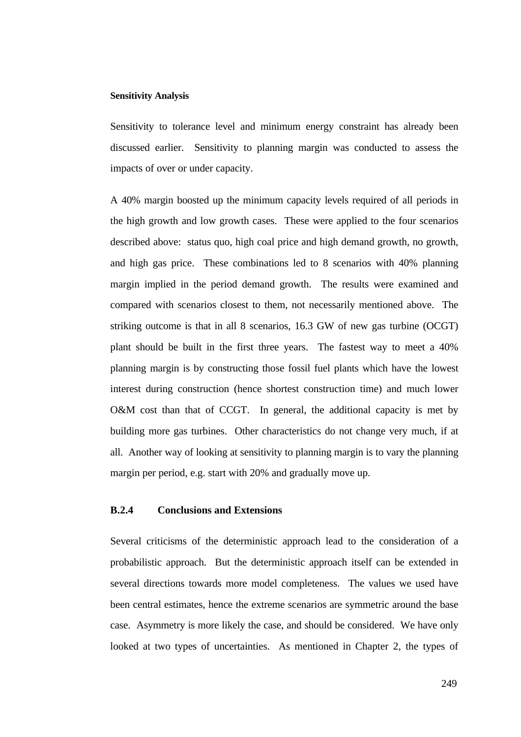#### **Sensitivity Analysis**

Sensitivity to tolerance level and minimum energy constraint has already been discussed earlier. Sensitivity to planning margin was conducted to assess the impacts of over or under capacity.

A 40% margin boosted up the minimum capacity levels required of all periods in the high growth and low growth cases. These were applied to the four scenarios described above: status quo, high coal price and high demand growth, no growth, and high gas price. These combinations led to 8 scenarios with 40% planning margin implied in the period demand growth. The results were examined and compared with scenarios closest to them, not necessarily mentioned above. The striking outcome is that in all 8 scenarios, 16.3 GW of new gas turbine (OCGT) plant should be built in the first three years. The fastest way to meet a 40% planning margin is by constructing those fossil fuel plants which have the lowest interest during construction (hence shortest construction time) and much lower O&M cost than that of CCGT. In general, the additional capacity is met by building more gas turbines. Other characteristics do not change very much, if at all. Another way of looking at sensitivity to planning margin is to vary the planning margin per period, e.g. start with 20% and gradually move up.

# **B.2.4 Conclusions and Extensions**

Several criticisms of the deterministic approach lead to the consideration of a probabilistic approach. But the deterministic approach itself can be extended in several directions towards more model completeness. The values we used have been central estimates, hence the extreme scenarios are symmetric around the base case. Asymmetry is more likely the case, and should be considered. We have only looked at two types of uncertainties. As mentioned in Chapter 2, the types of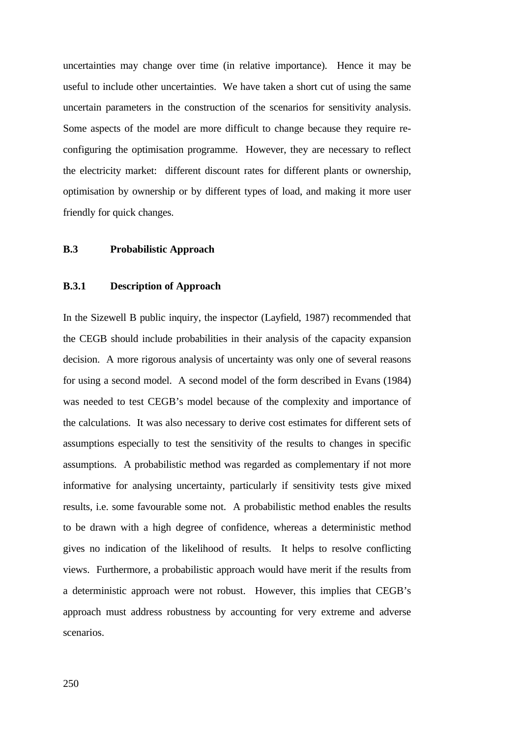uncertainties may change over time (in relative importance). Hence it may be useful to include other uncertainties. We have taken a short cut of using the same uncertain parameters in the construction of the scenarios for sensitivity analysis. Some aspects of the model are more difficult to change because they require reconfiguring the optimisation programme. However, they are necessary to reflect the electricity market: different discount rates for different plants or ownership, optimisation by ownership or by different types of load, and making it more user friendly for quick changes.

# **B.3 Probabilistic Approach**

## **B.3.1 Description of Approach**

In the Sizewell B public inquiry, the inspector (Layfield, 1987) recommended that the CEGB should include probabilities in their analysis of the capacity expansion decision. A more rigorous analysis of uncertainty was only one of several reasons for using a second model. A second model of the form described in Evans (1984) was needed to test CEGB's model because of the complexity and importance of the calculations. It was also necessary to derive cost estimates for different sets of assumptions especially to test the sensitivity of the results to changes in specific assumptions. A probabilistic method was regarded as complementary if not more informative for analysing uncertainty, particularly if sensitivity tests give mixed results, i.e. some favourable some not. A probabilistic method enables the results to be drawn with a high degree of confidence, whereas a deterministic method gives no indication of the likelihood of results. It helps to resolve conflicting views. Furthermore, a probabilistic approach would have merit if the results from a deterministic approach were not robust. However, this implies that CEGB's approach must address robustness by accounting for very extreme and adverse scenarios.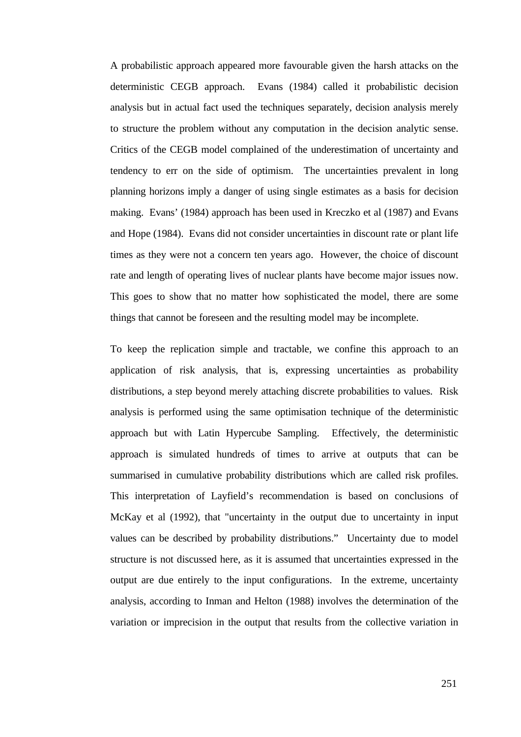A probabilistic approach appeared more favourable given the harsh attacks on the deterministic CEGB approach. Evans (1984) called it probabilistic decision analysis but in actual fact used the techniques separately, decision analysis merely to structure the problem without any computation in the decision analytic sense. Critics of the CEGB model complained of the underestimation of uncertainty and tendency to err on the side of optimism. The uncertainties prevalent in long planning horizons imply a danger of using single estimates as a basis for decision making. Evans' (1984) approach has been used in Kreczko et al (1987) and Evans and Hope (1984). Evans did not consider uncertainties in discount rate or plant life times as they were not a concern ten years ago. However, the choice of discount rate and length of operating lives of nuclear plants have become major issues now. This goes to show that no matter how sophisticated the model, there are some things that cannot be foreseen and the resulting model may be incomplete.

To keep the replication simple and tractable, we confine this approach to an application of risk analysis, that is, expressing uncertainties as probability distributions, a step beyond merely attaching discrete probabilities to values. Risk analysis is performed using the same optimisation technique of the deterministic approach but with Latin Hypercube Sampling. Effectively, the deterministic approach is simulated hundreds of times to arrive at outputs that can be summarised in cumulative probability distributions which are called risk profiles. This interpretation of Layfield's recommendation is based on conclusions of McKay et al (1992), that "uncertainty in the output due to uncertainty in input values can be described by probability distributions." Uncertainty due to model structure is not discussed here, as it is assumed that uncertainties expressed in the output are due entirely to the input configurations. In the extreme, uncertainty analysis, according to Inman and Helton (1988) involves the determination of the variation or imprecision in the output that results from the collective variation in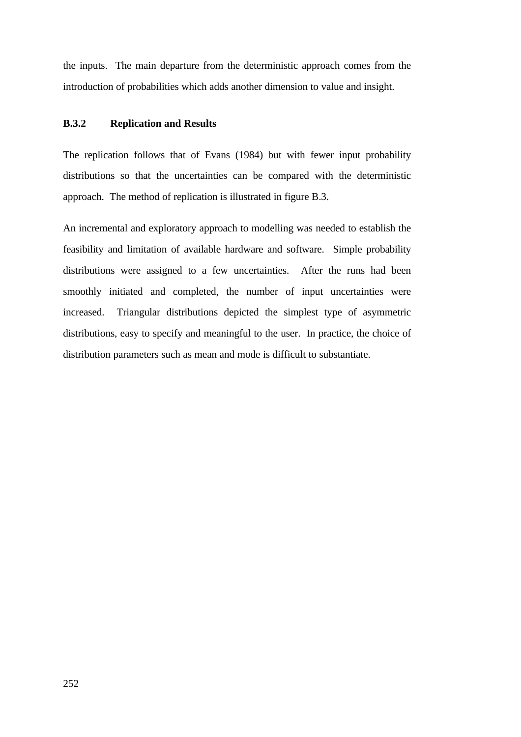the inputs. The main departure from the deterministic approach comes from the introduction of probabilities which adds another dimension to value and insight.

# **B.3.2 Replication and Results**

The replication follows that of Evans (1984) but with fewer input probability distributions so that the uncertainties can be compared with the deterministic approach. The method of replication is illustrated in figure B.3.

An incremental and exploratory approach to modelling was needed to establish the feasibility and limitation of available hardware and software. Simple probability distributions were assigned to a few uncertainties. After the runs had been smoothly initiated and completed, the number of input uncertainties were increased. Triangular distributions depicted the simplest type of asymmetric distributions, easy to specify and meaningful to the user. In practice, the choice of distribution parameters such as mean and mode is difficult to substantiate.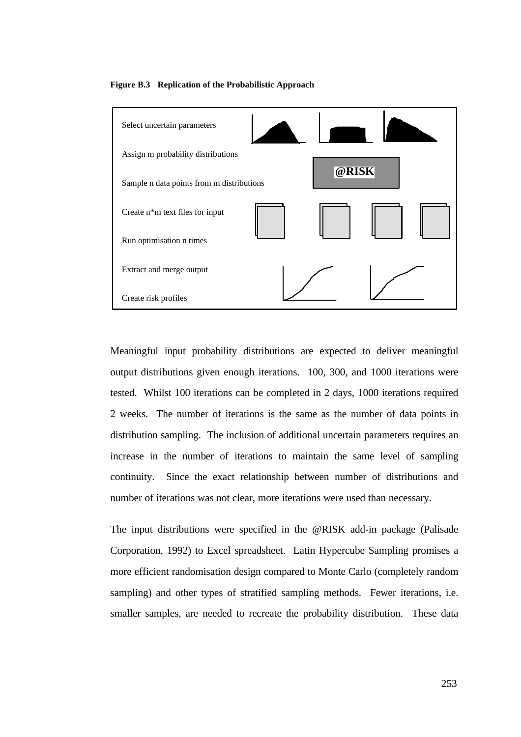



Meaningful input probability distributions are expected to deliver meaningful output distributions given enough iterations. 100, 300, and 1000 iterations were tested. Whilst 100 iterations can be completed in 2 days, 1000 iterations required 2 weeks. The number of iterations is the same as the number of data points in distribution sampling. The inclusion of additional uncertain parameters requires an increase in the number of iterations to maintain the same level of sampling continuity. Since the exact relationship between number of distributions and number of iterations was not clear, more iterations were used than necessary.

The input distributions were specified in the @RISK add-in package (Palisade Corporation, 1992) to Excel spreadsheet. Latin Hypercube Sampling promises a more efficient randomisation design compared to Monte Carlo (completely random sampling) and other types of stratified sampling methods. Fewer iterations, i.e. smaller samples, are needed to recreate the probability distribution. These data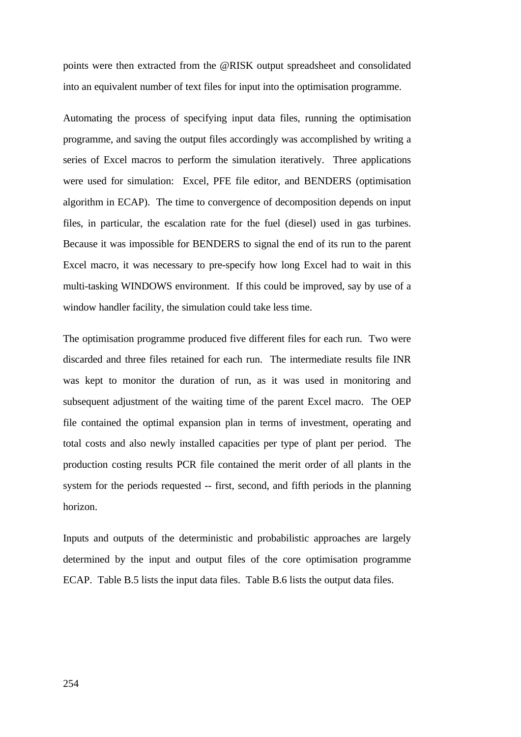points were then extracted from the @RISK output spreadsheet and consolidated into an equivalent number of text files for input into the optimisation programme.

Automating the process of specifying input data files, running the optimisation programme, and saving the output files accordingly was accomplished by writing a series of Excel macros to perform the simulation iteratively. Three applications were used for simulation: Excel, PFE file editor, and BENDERS (optimisation algorithm in ECAP). The time to convergence of decomposition depends on input files, in particular, the escalation rate for the fuel (diesel) used in gas turbines. Because it was impossible for BENDERS to signal the end of its run to the parent Excel macro, it was necessary to pre-specify how long Excel had to wait in this multi-tasking WINDOWS environment. If this could be improved, say by use of a window handler facility, the simulation could take less time.

The optimisation programme produced five different files for each run. Two were discarded and three files retained for each run. The intermediate results file INR was kept to monitor the duration of run, as it was used in monitoring and subsequent adjustment of the waiting time of the parent Excel macro. The OEP file contained the optimal expansion plan in terms of investment, operating and total costs and also newly installed capacities per type of plant per period. The production costing results PCR file contained the merit order of all plants in the system for the periods requested -- first, second, and fifth periods in the planning horizon.

Inputs and outputs of the deterministic and probabilistic approaches are largely determined by the input and output files of the core optimisation programme ECAP. Table B.5 lists the input data files. Table B.6 lists the output data files.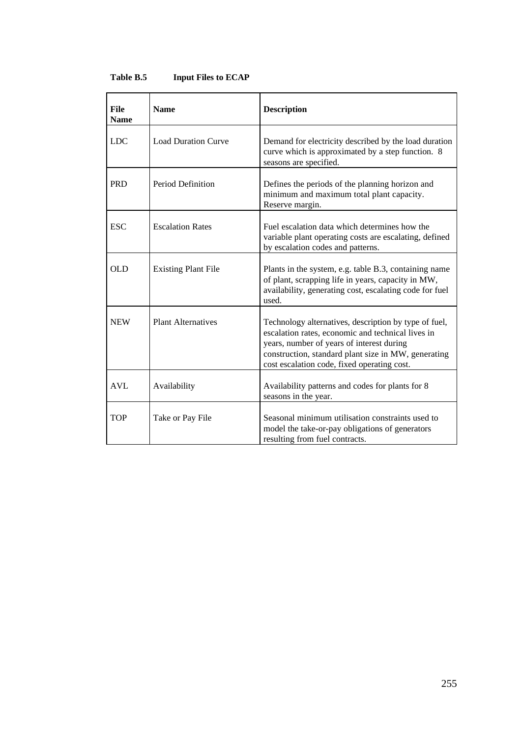| <b>File</b><br><b>Name</b> | <b>Name</b>                | <b>Description</b>                                                                                                                                                                                                                                            |
|----------------------------|----------------------------|---------------------------------------------------------------------------------------------------------------------------------------------------------------------------------------------------------------------------------------------------------------|
| <b>LDC</b>                 | <b>Load Duration Curve</b> | Demand for electricity described by the load duration<br>curve which is approximated by a step function. 8<br>seasons are specified.                                                                                                                          |
| <b>PRD</b>                 | Period Definition          | Defines the periods of the planning horizon and<br>minimum and maximum total plant capacity.<br>Reserve margin.                                                                                                                                               |
| <b>ESC</b>                 | <b>Escalation Rates</b>    | Fuel escalation data which determines how the<br>variable plant operating costs are escalating, defined<br>by escalation codes and patterns.                                                                                                                  |
| OLD                        | <b>Existing Plant File</b> | Plants in the system, e.g. table B.3, containing name<br>of plant, scrapping life in years, capacity in MW,<br>availability, generating cost, escalating code for fuel<br>used.                                                                               |
| <b>NEW</b>                 | <b>Plant Alternatives</b>  | Technology alternatives, description by type of fuel,<br>escalation rates, economic and technical lives in<br>years, number of years of interest during<br>construction, standard plant size in MW, generating<br>cost escalation code, fixed operating cost. |
| <b>AVL</b>                 | Availability               | Availability patterns and codes for plants for 8<br>seasons in the year.                                                                                                                                                                                      |
| <b>TOP</b>                 | Take or Pay File           | Seasonal minimum utilisation constraints used to<br>model the take-or-pay obligations of generators<br>resulting from fuel contracts.                                                                                                                         |

# **Table B.5 Input Files to ECAP**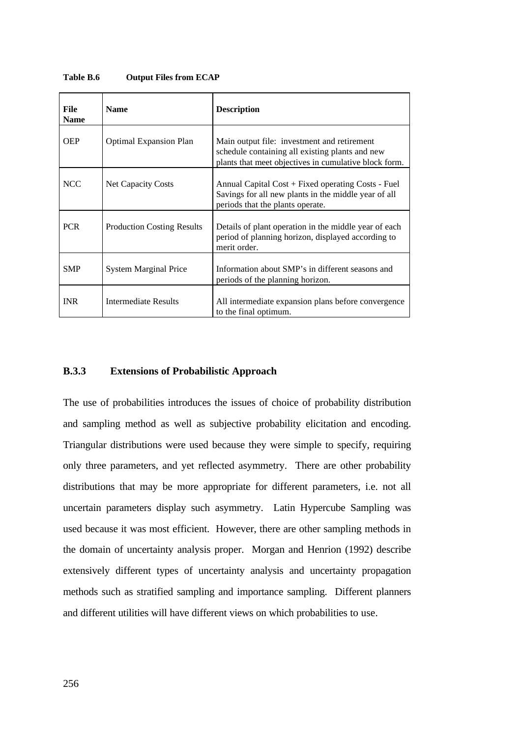| File<br><b>Name</b> | <b>Name</b>                       | <b>Description</b>                                                                                                                                      |
|---------------------|-----------------------------------|---------------------------------------------------------------------------------------------------------------------------------------------------------|
| <b>OEP</b>          | <b>Optimal Expansion Plan</b>     | Main output file: investment and retirement<br>schedule containing all existing plants and new<br>plants that meet objectives in cumulative block form. |
| <b>NCC</b>          | <b>Net Capacity Costs</b>         | Annual Capital Cost + Fixed operating Costs - Fuel<br>Savings for all new plants in the middle year of all<br>periods that the plants operate.          |
| <b>PCR</b>          | <b>Production Costing Results</b> | Details of plant operation in the middle year of each<br>period of planning horizon, displayed according to<br>merit order.                             |
| <b>SMP</b>          | <b>System Marginal Price</b>      | Information about SMP's in different seasons and<br>periods of the planning horizon.                                                                    |
| <b>INR</b>          | <b>Intermediate Results</b>       | All intermediate expansion plans before convergence<br>to the final optimum.                                                                            |

**Table B.6 Output Files from ECAP**

# **B.3.3 Extensions of Probabilistic Approach**

The use of probabilities introduces the issues of choice of probability distribution and sampling method as well as subjective probability elicitation and encoding. Triangular distributions were used because they were simple to specify, requiring only three parameters, and yet reflected asymmetry. There are other probability distributions that may be more appropriate for different parameters, i.e. not all uncertain parameters display such asymmetry. Latin Hypercube Sampling was used because it was most efficient. However, there are other sampling methods in the domain of uncertainty analysis proper. Morgan and Henrion (1992) describe extensively different types of uncertainty analysis and uncertainty propagation methods such as stratified sampling and importance sampling. Different planners and different utilities will have different views on which probabilities to use.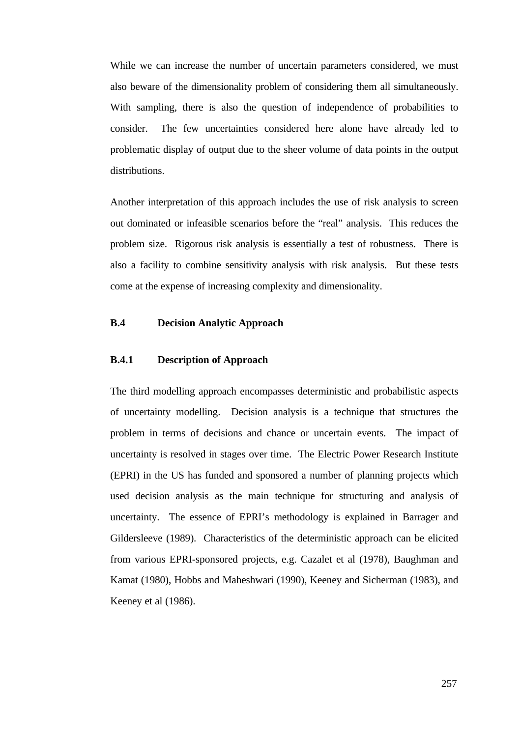While we can increase the number of uncertain parameters considered, we must also beware of the dimensionality problem of considering them all simultaneously. With sampling, there is also the question of independence of probabilities to consider. The few uncertainties considered here alone have already led to problematic display of output due to the sheer volume of data points in the output distributions.

Another interpretation of this approach includes the use of risk analysis to screen out dominated or infeasible scenarios before the "real" analysis. This reduces the problem size. Rigorous risk analysis is essentially a test of robustness. There is also a facility to combine sensitivity analysis with risk analysis. But these tests come at the expense of increasing complexity and dimensionality.

# **B.4 Decision Analytic Approach**

# **B.4.1 Description of Approach**

The third modelling approach encompasses deterministic and probabilistic aspects of uncertainty modelling. Decision analysis is a technique that structures the problem in terms of decisions and chance or uncertain events. The impact of uncertainty is resolved in stages over time. The Electric Power Research Institute (EPRI) in the US has funded and sponsored a number of planning projects which used decision analysis as the main technique for structuring and analysis of uncertainty. The essence of EPRI's methodology is explained in Barrager and Gildersleeve (1989). Characteristics of the deterministic approach can be elicited from various EPRI-sponsored projects, e.g. Cazalet et al (1978), Baughman and Kamat (1980), Hobbs and Maheshwari (1990), Keeney and Sicherman (1983), and Keeney et al (1986).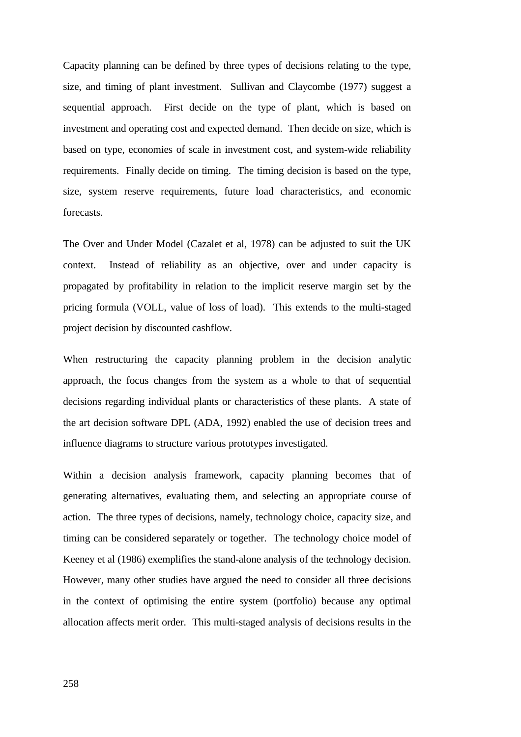Capacity planning can be defined by three types of decisions relating to the type, size, and timing of plant investment. Sullivan and Claycombe (1977) suggest a sequential approach. First decide on the type of plant, which is based on investment and operating cost and expected demand. Then decide on size, which is based on type, economies of scale in investment cost, and system-wide reliability requirements. Finally decide on timing. The timing decision is based on the type, size, system reserve requirements, future load characteristics, and economic forecasts.

The Over and Under Model (Cazalet et al, 1978) can be adjusted to suit the UK context. Instead of reliability as an objective, over and under capacity is propagated by profitability in relation to the implicit reserve margin set by the pricing formula (VOLL, value of loss of load). This extends to the multi-staged project decision by discounted cashflow.

When restructuring the capacity planning problem in the decision analytic approach, the focus changes from the system as a whole to that of sequential decisions regarding individual plants or characteristics of these plants. A state of the art decision software DPL (ADA, 1992) enabled the use of decision trees and influence diagrams to structure various prototypes investigated.

Within a decision analysis framework, capacity planning becomes that of generating alternatives, evaluating them, and selecting an appropriate course of action. The three types of decisions, namely, technology choice, capacity size, and timing can be considered separately or together. The technology choice model of Keeney et al (1986) exemplifies the stand-alone analysis of the technology decision. However, many other studies have argued the need to consider all three decisions in the context of optimising the entire system (portfolio) because any optimal allocation affects merit order. This multi-staged analysis of decisions results in the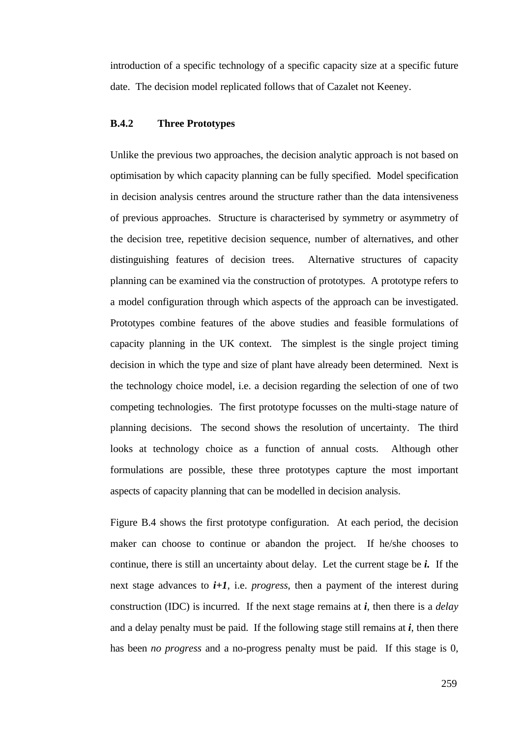introduction of a specific technology of a specific capacity size at a specific future date. The decision model replicated follows that of Cazalet not Keeney.

# **B.4.2 Three Prototypes**

Unlike the previous two approaches, the decision analytic approach is not based on optimisation by which capacity planning can be fully specified. Model specification in decision analysis centres around the structure rather than the data intensiveness of previous approaches. Structure is characterised by symmetry or asymmetry of the decision tree, repetitive decision sequence, number of alternatives, and other distinguishing features of decision trees. Alternative structures of capacity planning can be examined via the construction of prototypes. A prototype refers to a model configuration through which aspects of the approach can be investigated. Prototypes combine features of the above studies and feasible formulations of capacity planning in the UK context. The simplest is the single project timing decision in which the type and size of plant have already been determined. Next is the technology choice model, i.e. a decision regarding the selection of one of two competing technologies. The first prototype focusses on the multi-stage nature of planning decisions. The second shows the resolution of uncertainty. The third looks at technology choice as a function of annual costs. Although other formulations are possible, these three prototypes capture the most important aspects of capacity planning that can be modelled in decision analysis.

Figure B.4 shows the first prototype configuration. At each period, the decision maker can choose to continue or abandon the project. If he/she chooses to continue, there is still an uncertainty about delay. Let the current stage be *i.* If the next stage advances to  $i+1$ , i.e. *progress*, then a payment of the interest during construction (IDC) is incurred. If the next stage remains at *i*, then there is a *delay* and a delay penalty must be paid. If the following stage still remains at  $\vec{i}$ , then there has been *no progress* and a no-progress penalty must be paid. If this stage is 0,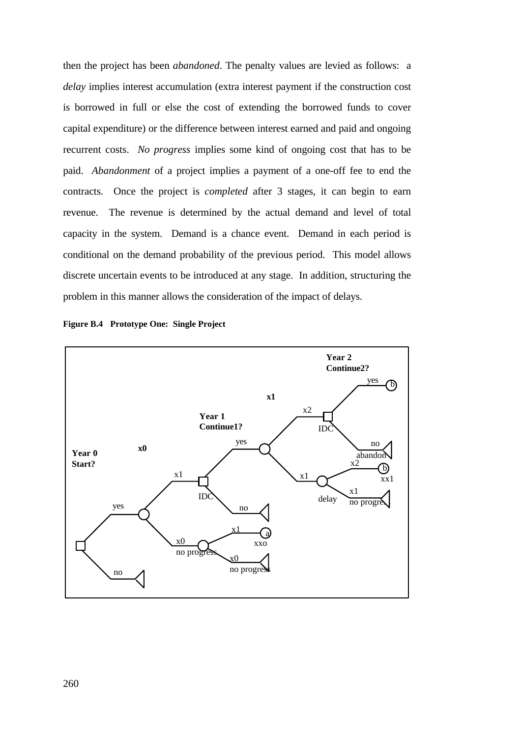then the project has been *abandoned*. The penalty values are levied as follows: a *delay* implies interest accumulation (extra interest payment if the construction cost is borrowed in full or else the cost of extending the borrowed funds to cover capital expenditure) or the difference between interest earned and paid and ongoing recurrent costs. *No progress* implies some kind of ongoing cost that has to be paid. *Abandonment* of a project implies a payment of a one-off fee to end the contracts. Once the project is *completed* after 3 stages, it can begin to earn revenue. The revenue is determined by the actual demand and level of total capacity in the system. Demand is a chance event. Demand in each period is conditional on the demand probability of the previous period. This model allows discrete uncertain events to be introduced at any stage. In addition, structuring the problem in this manner allows the consideration of the impact of delays.



**Figure B.4 Prototype One: Single Project**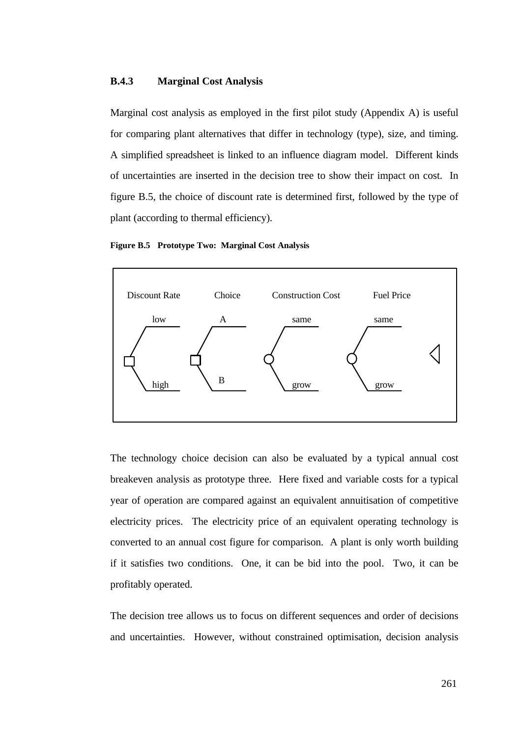## **B.4.3 Marginal Cost Analysis**

Marginal cost analysis as employed in the first pilot study (Appendix A) is useful for comparing plant alternatives that differ in technology (type), size, and timing. A simplified spreadsheet is linked to an influence diagram model. Different kinds of uncertainties are inserted in the decision tree to show their impact on cost. In figure B.5, the choice of discount rate is determined first, followed by the type of plant (according to thermal efficiency).





The technology choice decision can also be evaluated by a typical annual cost breakeven analysis as prototype three. Here fixed and variable costs for a typical year of operation are compared against an equivalent annuitisation of competitive electricity prices. The electricity price of an equivalent operating technology is converted to an annual cost figure for comparison. A plant is only worth building if it satisfies two conditions. One, it can be bid into the pool. Two, it can be profitably operated.

The decision tree allows us to focus on different sequences and order of decisions and uncertainties. However, without constrained optimisation, decision analysis